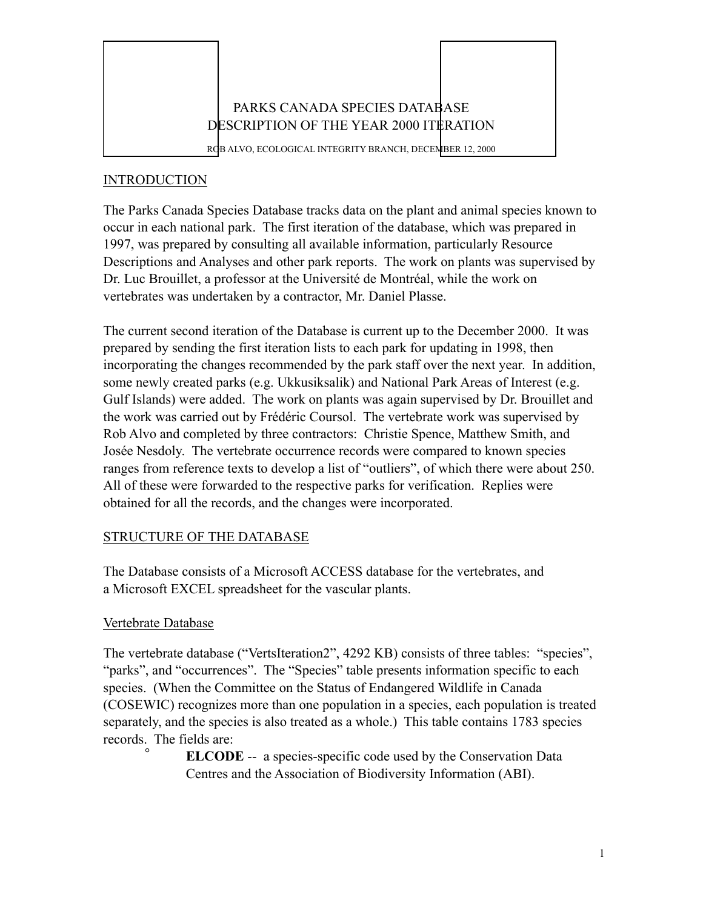

### INTRODUCTION

The Parks Canada Species Database tracks data on the plant and animal species known to occur in each national park. The first iteration of the database, which was prepared in 1997, was prepared by consulting all available information, particularly Resource Descriptions and Analyses and other park reports. The work on plants was supervised by Dr. Luc Brouillet, a professor at the Université de Montréal, while the work on vertebrates was undertaken by a contractor, Mr. Daniel Plasse.

The current second iteration of the Database is current up to the December 2000. It was prepared by sending the first iteration lists to each park for updating in 1998, then incorporating the changes recommended by the park staff over the next year. In addition, some newly created parks (e.g. Ukkusiksalik) and National Park Areas of Interest (e.g. Gulf Islands) were added. The work on plants was again supervised by Dr. Brouillet and the work was carried out by Frédéric Coursol. The vertebrate work was supervised by Rob Alvo and completed by three contractors: Christie Spence, Matthew Smith, and Josée Nesdoly. The vertebrate occurrence records were compared to known species ranges from reference texts to develop a list of "outliers", of which there were about 250. All of these were forwarded to the respective parks for verification. Replies were obtained for all the records, and the changes were incorporated.

## STRUCTURE OF THE DATABASE

The Database consists of a Microsoft ACCESS database for the vertebrates, and a Microsoft EXCEL spreadsheet for the vascular plants.

## Vertebrate Database

The vertebrate database ("VertsIteration2", 4292 KB) consists of three tables: "species", "parks", and "occurrences". The "Species" table presents information specific to each species. (When the Committee on the Status of Endangered Wildlife in Canada (COSEWIC) recognizes more than one population in a species, each population is treated separately, and the species is also treated as a whole.) This table contains 1783 species records. The fields are:

> **ELCODE** -- a species-specific code used by the Conservation Data Centres and the Association of Biodiversity Information (ABI).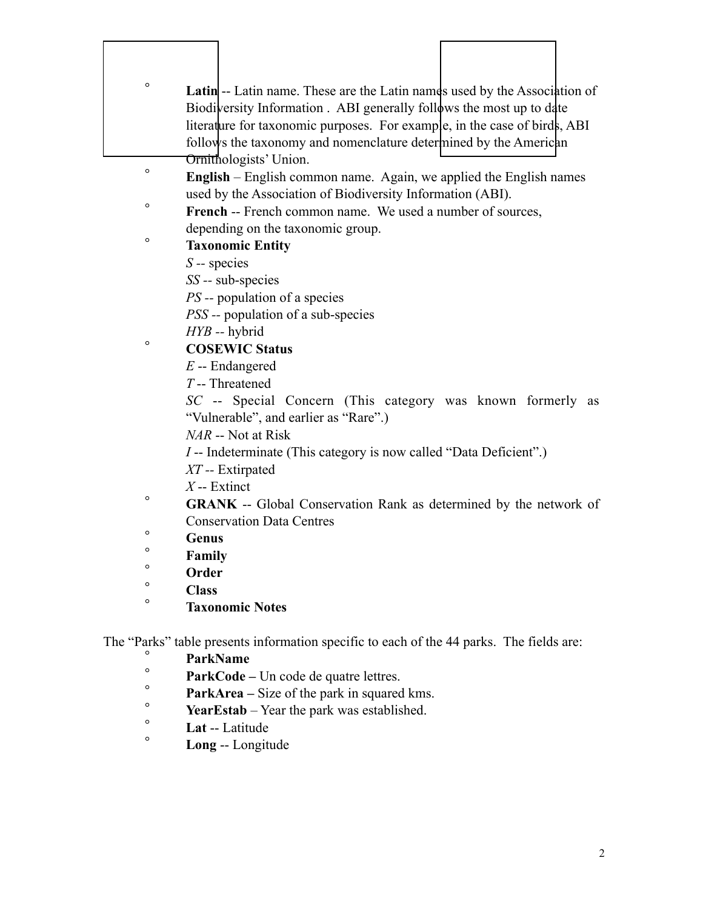| $\circ$ | <b>Latin</b> -- Latin name. These are the Latin names used by the Association of         |
|---------|------------------------------------------------------------------------------------------|
|         | Biodiversity Information . ABI generally follows the most up to date                     |
|         | literature for taxonomic purposes. For example, in the case of birds, ABI                |
|         | follows the taxonomy and nomenclature determined by the American                         |
|         | Ornithologists' Union.                                                                   |
| $\circ$ | <b>English</b> – English common name. Again, we applied the English names                |
|         | used by the Association of Biodiversity Information (ABI).                               |
| $\circ$ | French -- French common name. We used a number of sources,                               |
|         | depending on the taxonomic group.                                                        |
| $\circ$ | <b>Taxonomic Entity</b>                                                                  |
|         | $S$ -- species                                                                           |
|         | $SS$ -- sub-species                                                                      |
|         | <i>PS</i> -- population of a species                                                     |
|         | PSS -- population of a sub-species                                                       |
|         | $HYB - h$ ybrid                                                                          |
| $\circ$ | <b>COSEWIC Status</b>                                                                    |
|         | $E$ -- Endangered                                                                        |
|         | $T$ --Threatened                                                                         |
|         | SC -- Special Concern (This category was known formerly as                               |
|         | "Vulnerable", and earlier as "Rare".)                                                    |
|         | <i>NAR</i> -- Not at Risk                                                                |
|         | <i>I</i> -- Indeterminate (This category is now called "Data Deficient".)                |
|         | $XT$ -- Extirpated                                                                       |
|         | $X$ -- Extinct                                                                           |
| $\circ$ | <b>GRANK</b> -- Global Conservation Rank as determined by the network of                 |
|         | <b>Conservation Data Centres</b>                                                         |
| $\circ$ | Genus                                                                                    |
| $\circ$ | Family                                                                                   |
| $\circ$ | Order                                                                                    |
| $\circ$ | <b>Class</b>                                                                             |
| $\circ$ | <b>Taxonomic Notes</b>                                                                   |
|         | The "Parks" table presents information specific to each of the 44 parks. The fields are: |
| $\circ$ | <b>ParkName</b>                                                                          |
| $\circ$ | ${\bf ParkCode}$ – Un code de quatre lettres                                             |

- **ParkCode Un code de quatre lettres.**<br>Park type Sing of the next in aggregation
- $\degree$  **ParkArea** Size of the park in squared kms.
- $\degree$  **YearEstab** Year the park was established.
- <sup>o</sup> Lat -- Latitude
	- ° **Long** -- Longitude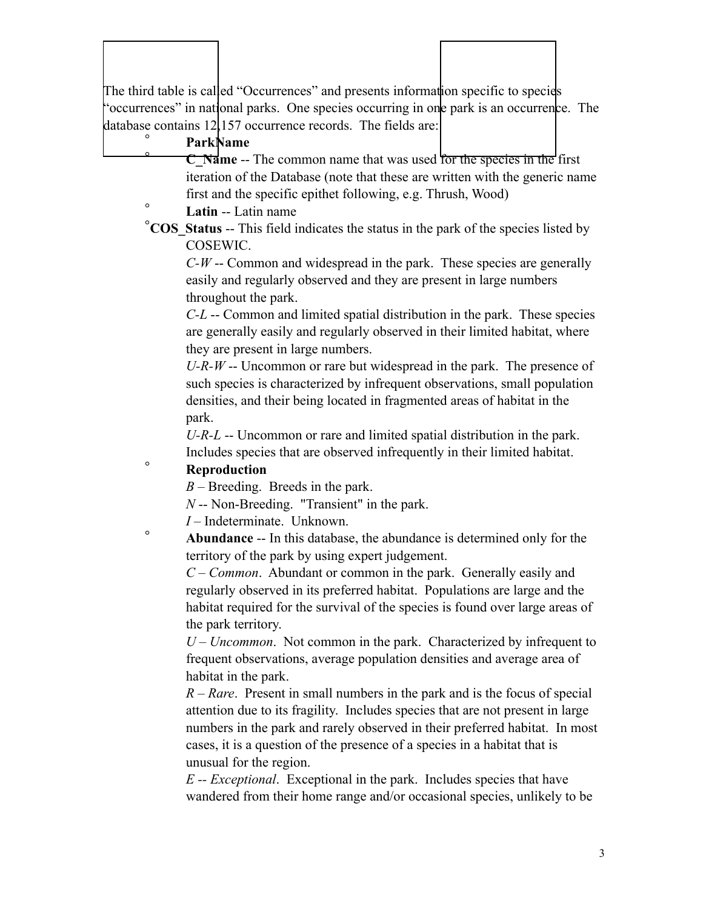The third table is called "Occurrences" and presents information specific to species "occurrences" in national parks. One species occurring in one park is an occurrence. The database contains 12,157 occurrence records. The fields are:

## ° **ParkName**

 $\overline{\phantom{a}}$ 

**C** Name -- The common name that was used for the species in the first iteration of the Database (note that these are written with the generic name first and the specific epithet following, e.g. Thrush, Wood)

° **Latin** -- Latin name

°**COS\_Status** -- This field indicates the status in the park of the species listed by COSEWIC.

*C-W* -- Common and widespread in the park. These species are generally easily and regularly observed and they are present in large numbers throughout the park.

*C-L* -- Common and limited spatial distribution in the park. These species are generally easily and regularly observed in their limited habitat, where they are present in large numbers.

*U-R-W* -- Uncommon or rare but widespread in the park. The presence of such species is characterized by infrequent observations, small population densities, and their being located in fragmented areas of habitat in the park.

*U-R-L* -- Uncommon or rare and limited spatial distribution in the park. Includes species that are observed infrequently in their limited habitat.

## ° **Reproduction**

*B* – Breeding. Breeds in the park.

*N* -- Non-Breeding. "Transient" in the park.

*I* – Indeterminate. Unknown.

° **Abundance** -- In this database, the abundance is determined only for the territory of the park by using expert judgement.

*C – Common*. Abundant or common in the park. Generally easily and regularly observed in its preferred habitat. Populations are large and the habitat required for the survival of the species is found over large areas of the park territory.

 *U – Uncommon*. Not common in the park. Characterized by infrequent to frequent observations, average population densities and average area of habitat in the park.

 *R – Rare*. Present in small numbers in the park and is the focus of special attention due to its fragility. Includes species that are not present in large numbers in the park and rarely observed in their preferred habitat. In most cases, it is a question of the presence of a species in a habitat that is unusual for the region.

 *E -- Exceptional*. Exceptional in the park. Includes species that have wandered from their home range and/or occasional species, unlikely to be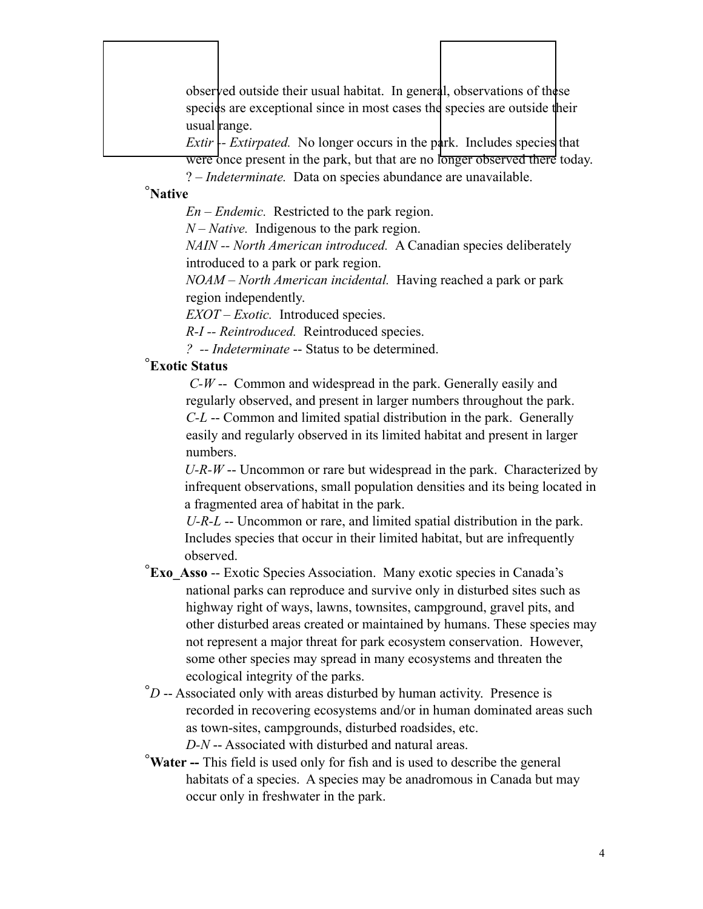observed outside their usual habitat. In general, observations of these species are exceptional since in most cases the species are outside their usual range.

*Extir*  $\leftarrow$  *Extirpated.* No longer occurs in the park. Includes species that **Were** once present in the park, but that are no longer observed there today. ? – *Indeterminate.* Data on species abundance are unavailable.

# °**Native**

 $\overline{\phantom{a}}$ 

*En – Endemic.* Restricted to the park region.

*N – Native.* Indigenous to the park region.

*NAIN -- North American introduced.* A Canadian species deliberately introduced to a park or park region.

*NOAM – North American incidental.* Having reached a park or park region independently.

*EXOT – Exotic.* Introduced species.

*R-I -- Reintroduced.* Reintroduced species.

*? -- Indeterminate* -- Status to be determined.

# °**Exotic Status**

 *C-W* -- Common and widespread in the park. Generally easily and regularly observed, and present in larger numbers throughout the park. *C-L* -- Common and limited spatial distribution in the park. Generally easily and regularly observed in its limited habitat and present in larger numbers.

 *U-R-W* -- Uncommon or rare but widespread in the park. Characterized by infrequent observations, small population densities and its being located in a fragmented area of habitat in the park.

*U-R-L* -- Uncommon or rare, and limited spatial distribution in the park. Includes species that occur in their limited habitat, but are infrequently observed.

- °**Exo\_Asso** -- Exotic Species Association. Many exotic species in Canada's national parks can reproduce and survive only in disturbed sites such as highway right of ways, lawns, townsites, campground, gravel pits, and other disturbed areas created or maintained by humans. These species may not represent a major threat for park ecosystem conservation. However, some other species may spread in many ecosystems and threaten the ecological integrity of the parks.
- °*D* -- Associated only with areas disturbed by human activity. Presence is recorded in recovering ecosystems and/or in human dominated areas such as town-sites, campgrounds, disturbed roadsides, etc.

*D-N* -- Associated with disturbed and natural areas.

°**Water --** This field is used only for fish and is used to describe the general habitats of a species. A species may be anadromous in Canada but may occur only in freshwater in the park.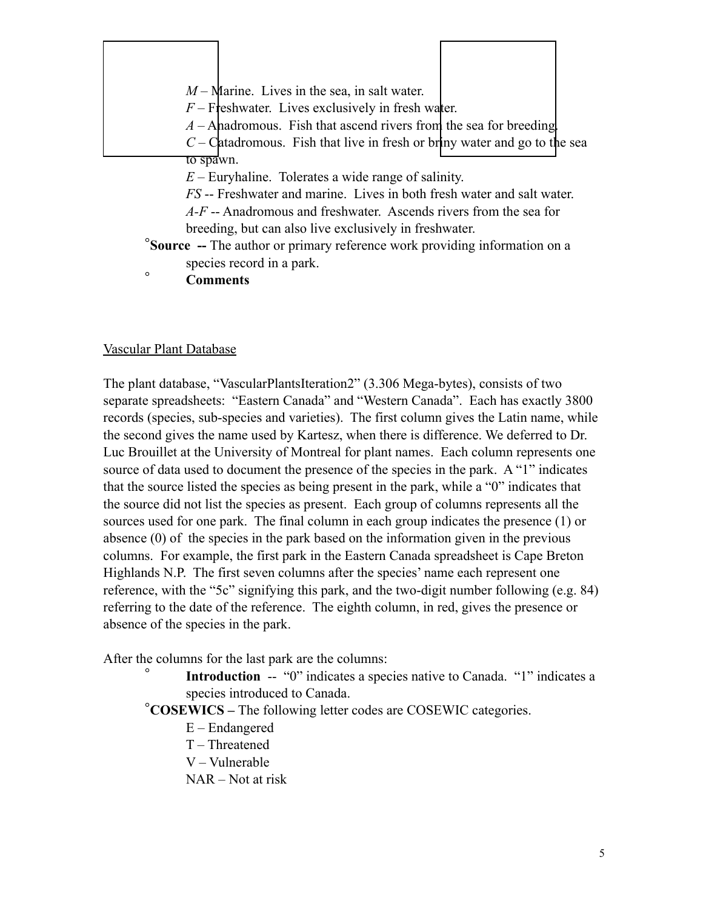|           | $M$ – Marine. Lives in the sea, in salt water.                                                                |  |
|-----------|---------------------------------------------------------------------------------------------------------------|--|
|           | $F$ – Freshwater. Lives exclusively in fresh water.                                                           |  |
|           | $A$ – Ahadromous. Fish that ascend rivers from the sea for breeding                                           |  |
|           | $C -$ Catadromous. Fish that live in fresh or briny water and go to the sea                                   |  |
| to spawn. |                                                                                                               |  |
|           | $E$ – Euryhaline. Tolerates a wide range of salinity.                                                         |  |
|           | FS -- Freshwater and marine. Lives in both fresh water and salt water.                                        |  |
|           | $A-F$ -- Anadromous and freshwater. Ascends rivers from the sea for                                           |  |
|           | breeding, but can also live exclusively in freshwater.                                                        |  |
|           | <b>Source</b> -- The author or primary reference work providing information on a<br>species record in a park. |  |
| $\circ$   | <b>Comments</b>                                                                                               |  |

Vascular Plant Database

The plant database, "VascularPlantsIteration2" (3.306 Mega-bytes), consists of two separate spreadsheets: "Eastern Canada" and "Western Canada". Each has exactly 3800 records (species, sub-species and varieties). The first column gives the Latin name, while the second gives the name used by Kartesz, when there is difference. We deferred to Dr. Luc Brouillet at the University of Montreal for plant names. Each column represents one source of data used to document the presence of the species in the park. A "1" indicates that the source listed the species as being present in the park, while a "0" indicates that the source did not list the species as present. Each group of columns represents all the sources used for one park. The final column in each group indicates the presence (1) or absence (0) of the species in the park based on the information given in the previous columns. For example, the first park in the Eastern Canada spreadsheet is Cape Breton Highlands N.P. The first seven columns after the species' name each represent one reference, with the "5c" signifying this park, and the two-digit number following (e.g. 84) referring to the date of the reference. The eighth column, in red, gives the presence or absence of the species in the park.

After the columns for the last park are the columns:

**Introduction** -- "0" indicates a species native to Canada. "1" indicates a species introduced to Canada.

°**COSEWICS –** The following letter codes are COSEWIC categories.

- E Endangered
- T Threatened
- V Vulnerable
- NAR Not at risk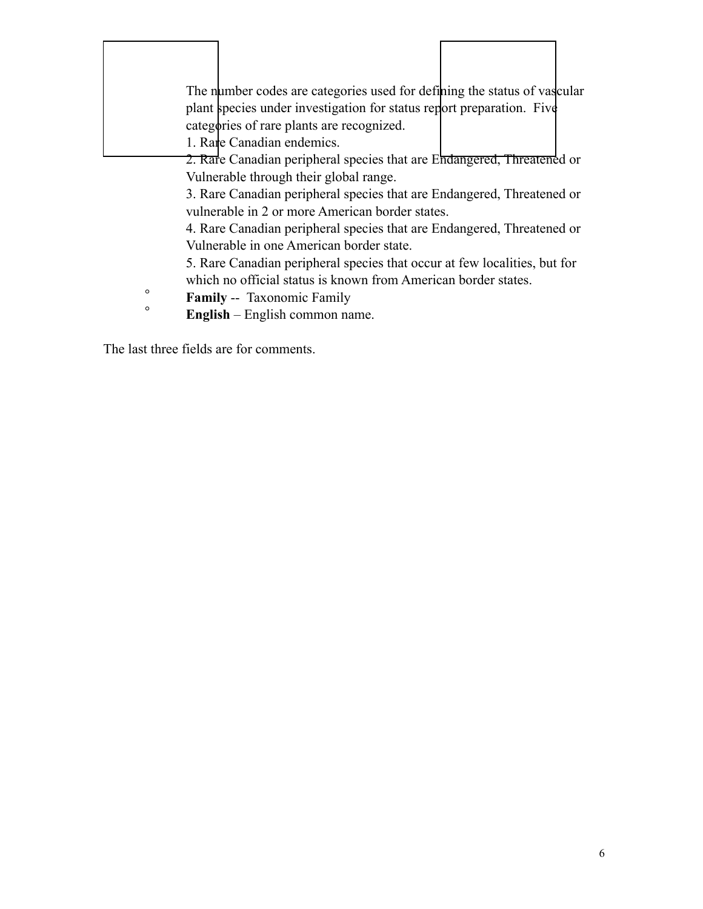|         | The number codes are categories used for defining the status of vascular<br>plant species under investigation for status report preparation. Five<br>categories of rare plants are recognized.<br>1. Rare Canadian endemics.<br>2. Rafe Canadian peripheral species that are Endangered, Threatened or |  |
|---------|--------------------------------------------------------------------------------------------------------------------------------------------------------------------------------------------------------------------------------------------------------------------------------------------------------|--|
|         | Vulnerable through their global range.                                                                                                                                                                                                                                                                 |  |
|         | 3. Rare Canadian peripheral species that are Endangered, Threatened or                                                                                                                                                                                                                                 |  |
|         | vulnerable in 2 or more American border states.                                                                                                                                                                                                                                                        |  |
|         | 4. Rare Canadian peripheral species that are Endangered, Threatened or                                                                                                                                                                                                                                 |  |
|         | Vulnerable in one American border state.                                                                                                                                                                                                                                                               |  |
|         | 5. Rare Canadian peripheral species that occur at few localities, but for                                                                                                                                                                                                                              |  |
|         | which no official status is known from American border states.                                                                                                                                                                                                                                         |  |
| $\circ$ | <b>Family -- Taxonomic Family</b>                                                                                                                                                                                                                                                                      |  |
| $\circ$ | <b>English</b> – English common name.                                                                                                                                                                                                                                                                  |  |
|         |                                                                                                                                                                                                                                                                                                        |  |

 $\Gamma$ 

1

The last three fields are for comments.

 $\Gamma$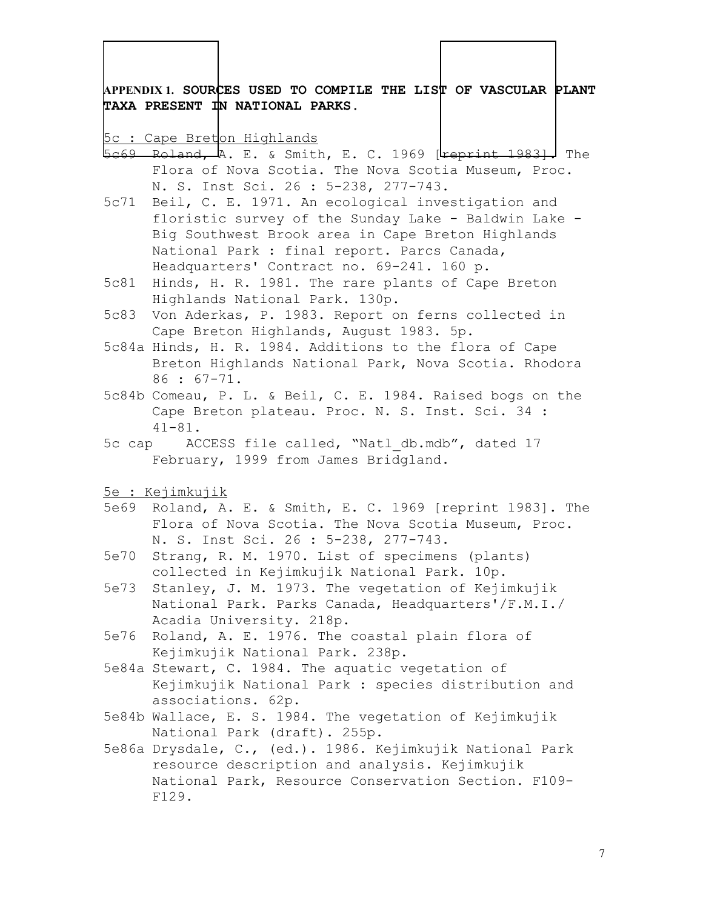**APPENDIX 1. SOURCES USED TO COMPILE THE LIST OF VASCULAR PLANT TAXA PRESENT IN NATIONAL PARKS.** 

5c : Cape Breton Highlands

- 5c69 Roland, A. E. & Smith, E. C. 1969 [Feprint 1983]. The Flora of Nova Scotia. The Nova Scotia Museum, Proc. N. S. Inst Sci. 26 : 5-238, 277-743.
- 5c71 Beil, C. E. 1971. An ecological investigation and floristic survey of the Sunday Lake - Baldwin Lake - Big Southwest Brook area in Cape Breton Highlands National Park : final report. Parcs Canada, Headquarters' Contract no. 69-241. 160 p.
- 5c81 Hinds, H. R. 1981. The rare plants of Cape Breton Highlands National Park. 130p.
- 5c83 Von Aderkas, P. 1983. Report on ferns collected in Cape Breton Highlands, August 1983. 5p.
- 5c84a Hinds, H. R. 1984. Additions to the flora of Cape Breton Highlands National Park, Nova Scotia. Rhodora 86 : 67-71.
- 5c84b Comeau, P. L. & Beil, C. E. 1984. Raised bogs on the Cape Breton plateau. Proc. N. S. Inst. Sci. 34 : 41-81.
- 5c cap ACCESS file called, "Natl\_db.mdb", dated 17 February, 1999 from James Bridgland.
- 5e : Kejimkujik
- 5e69 Roland, A. E. & Smith, E. C. 1969 [reprint 1983]. The Flora of Nova Scotia. The Nova Scotia Museum, Proc. N. S. Inst Sci. 26 : 5-238, 277-743.
- 5e70 Strang, R. M. 1970. List of specimens (plants) collected in Kejimkujik National Park. 10p.
- 5e73 Stanley, J. M. 1973. The vegetation of Kejimkujik National Park. Parks Canada, Headquarters'/F.M.I./ Acadia University. 218p.
- 5e76 Roland, A. E. 1976. The coastal plain flora of Kejimkujik National Park. 238p.
- 5e84a Stewart, C. 1984. The aquatic vegetation of Kejimkujik National Park : species distribution and associations. 62p.
- 5e84b Wallace, E. S. 1984. The vegetation of Kejimkujik National Park (draft). 255p.
- 5e86a Drysdale, C., (ed.). 1986. Kejimkujik National Park resource description and analysis. Kejimkujik National Park, Resource Conservation Section. F109- F129.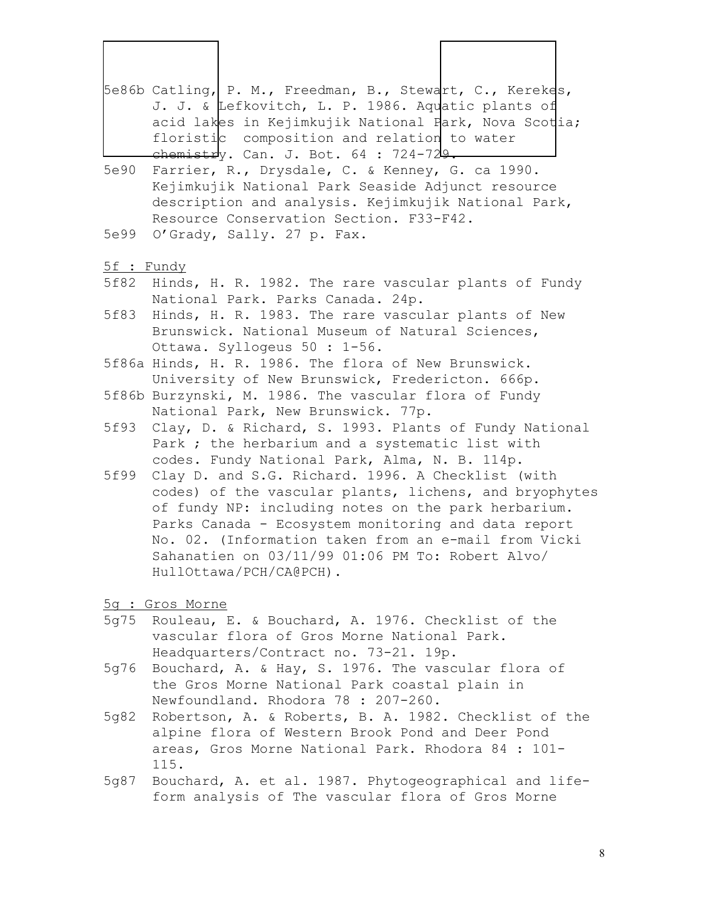- 5e86b Catling, P. M., Freedman, B., Stewart, C., Kerekes, J. J. & Lefkovitch, L. P. 1986. Aquatic plants of acid lakes in Kejimkujik National Park, Nova Scotia; floristic composition and relation to water chemistry. Can. J. Bot. 64 : 724-729.
- 5e90 Farrier, R., Drysdale, C. & Kenney, G. ca 1990. Kejimkujik National Park Seaside Adjunct resource description and analysis. Kejimkujik National Park, Resource Conservation Section. F33-F42.
- 5e99 O'Grady, Sally. 27 p. Fax.
- 5f : Fundy

- 5f82 Hinds, H. R. 1982. The rare vascular plants of Fundy National Park. Parks Canada. 24p.
- 5f83 Hinds, H. R. 1983. The rare vascular plants of New Brunswick. National Museum of Natural Sciences, Ottawa. Syllogeus 50 : 1-56.
- 5f86a Hinds, H. R. 1986. The flora of New Brunswick. University of New Brunswick, Fredericton. 666p.
- 5f86b Burzynski, M. 1986. The vascular flora of Fundy National Park, New Brunswick. 77p.
- 5f93 Clay, D. & Richard, S. 1993. Plants of Fundy National Park ; the herbarium and a systematic list with codes. Fundy National Park, Alma, N. B. 114p.
- 5f99 Clay D. and S.G. Richard. 1996. A Checklist (with codes) of the vascular plants, lichens, and bryophytes of fundy NP: including notes on the park herbarium. Parks Canada - Ecosystem monitoring and data report No. 02. (Information taken from an e-mail from Vicki Sahanatien on 03/11/99 01:06 PM To: Robert Alvo/ HullOttawa/PCH/CA@PCH).
- 5g : Gros Morne
- 5g75 Rouleau, E. & Bouchard, A. 1976. Checklist of the vascular flora of Gros Morne National Park. Headquarters/Contract no. 73-21. 19p.
- 5g76 Bouchard, A. & Hay, S. 1976. The vascular flora of the Gros Morne National Park coastal plain in Newfoundland. Rhodora 78 : 207-260.
- 5g82 Robertson, A. & Roberts, B. A. 1982. Checklist of the alpine flora of Western Brook Pond and Deer Pond areas, Gros Morne National Park. Rhodora 84 : 101- 115.
- 5g87 Bouchard, A. et al. 1987. Phytogeographical and lifeform analysis of The vascular flora of Gros Morne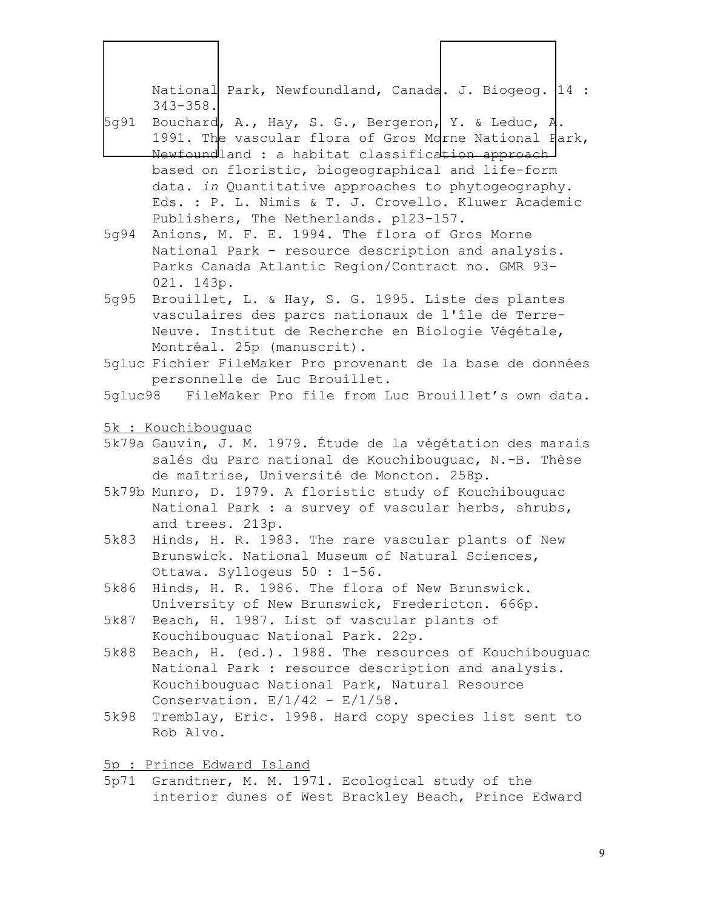National Park, Newfoundland, Canada. J. Biogeog. 14 : 343-358. 5g91 Bouchard, A., Hay, S. G., Bergeron, Y. & Leduc,  $A$ . 1991. The vascular flora of Gros Morne National Fark, Newfoundland : a habitat classification approach based on floristic, biogeographical and life-form data. *in* Quantitative approaches to phytogeography. Eds. : P. L. Nimis & T. J. Crovello. Kluwer Academic Publishers, The Netherlands. p123-157. 5g94 Anions, M. F. E. 1994. The flora of Gros Morne National Park - resource description and analysis. Parks Canada Atlantic Region/Contract no. GMR 93- 021. 143p. 5g95 Brouillet, L. & Hay, S. G. 1995. Liste des plantes vasculaires des parcs nationaux de l'île de Terre-Neuve. Institut de Recherche en Biologie Végétale, Montréal. 25p (manuscrit). 5gluc Fichier FileMaker Pro provenant de la base de données personnelle de Luc Brouillet. 5gluc98 FileMaker Pro file from Luc Brouillet's own data. 5k : Kouchibouguac 5k79a Gauvin, J. M. 1979. Étude de la végétation des marais salés du Parc national de Kouchibouguac, N.-B. Thèse de maîtrise, Université de Moncton. 258p. 5k79b Munro, D. 1979. A floristic study of Kouchibouguac National Park : a survey of vascular herbs, shrubs, and trees. 213p. 5k83 Hinds, H. R. 1983. The rare vascular plants of New Brunswick. National Museum of Natural Sciences, Ottawa. Syllogeus 50 : 1-56. 5k86 Hinds, H. R. 1986. The flora of New Brunswick. University of New Brunswick, Fredericton. 666p. 5k87 Beach, H. 1987. List of vascular plants of Kouchibouguac National Park. 22p. 5k88 Beach, H. (ed.). 1988. The resources of Kouchibouguac National Park : resource description and analysis. Kouchibouguac National Park, Natural Resource Conservation.  $E/1/42 - E/1/58$ . 5k98 Tremblay, Eric. 1998. Hard copy species list sent to Rob Alvo. 5p : Prince Edward Island 5p71 Grandtner, M. M. 1971. Ecological study of the interior dunes of West Brackley Beach, Prince Edward  $\overline{\phantom{a}}$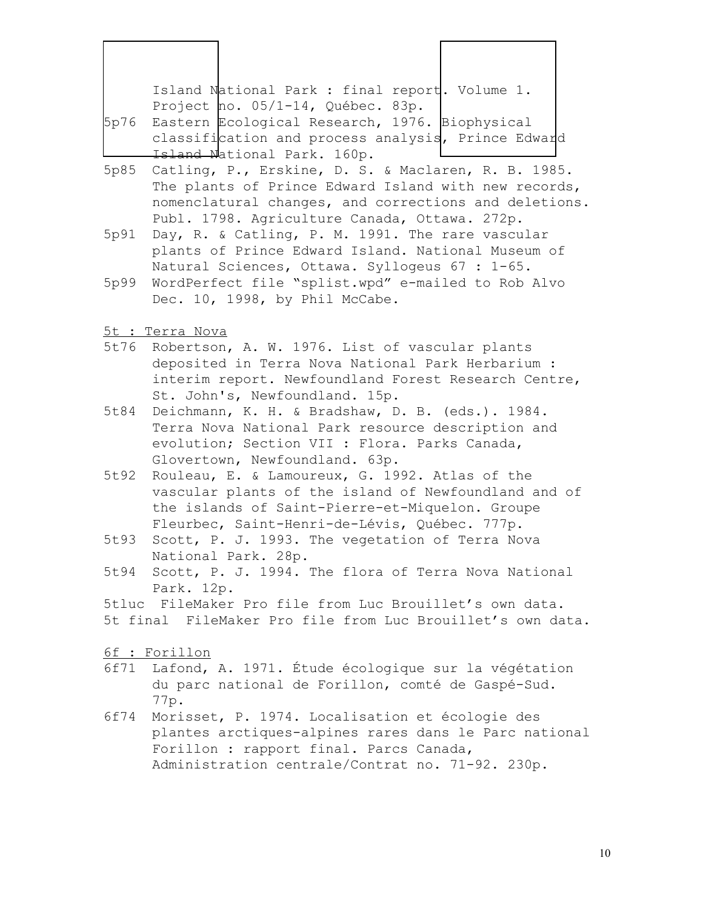| Island National Park : final report. Volume 1.                                                                 |  |
|----------------------------------------------------------------------------------------------------------------|--|
| Project no. 05/1-14, Québec. 83p.                                                                              |  |
| 5p76 Eastern Ecological Research, 1976. Biophysical                                                            |  |
| real and the contract of the contract of the contract of the contract of the contract of the contract of the c |  |

classification and process analysis, Prince Edward Island National Park. 160p.

- 5p85 Catling, P., Erskine, D. S. & Maclaren, R. B. 1985. The plants of Prince Edward Island with new records, nomenclatural changes, and corrections and deletions. Publ. 1798. Agriculture Canada, Ottawa. 272p.
- 5p91 Day, R. & Catling, P. M. 1991. The rare vascular plants of Prince Edward Island. National Museum of Natural Sciences, Ottawa. Syllogeus 67 : 1-65.
- 5p99 WordPerfect file "splist.wpd" e-mailed to Rob Alvo Dec. 10, 1998, by Phil McCabe.
- 5t : Terra Nova

 $\overline{\phantom{a}}$ 

- 5t76 Robertson, A. W. 1976. List of vascular plants deposited in Terra Nova National Park Herbarium : interim report. Newfoundland Forest Research Centre, St. John's, Newfoundland. 15p.
- 5t84 Deichmann, K. H. & Bradshaw, D. B. (eds.). 1984. Terra Nova National Park resource description and evolution; Section VII : Flora. Parks Canada, Glovertown, Newfoundland. 63p.
- 5t92 Rouleau, E. & Lamoureux, G. 1992. Atlas of the vascular plants of the island of Newfoundland and of the islands of Saint-Pierre-et-Miquelon. Groupe Fleurbec, Saint-Henri-de-Lévis, Québec. 777p.
- 5t93 Scott, P. J. 1993. The vegetation of Terra Nova National Park. 28p.
- 5t94 Scott, P. J. 1994. The flora of Terra Nova National Park. 12p.

5tluc FileMaker Pro file from Luc Brouillet's own data. 5t final FileMaker Pro file from Luc Brouillet's own data.

- 6f : Forillon
- 6f71 Lafond, A. 1971. Étude écologique sur la végétation du parc national de Forillon, comté de Gaspé-Sud. 77p.
- 6f74 Morisset, P. 1974. Localisation et écologie des plantes arctiques-alpines rares dans le Parc national Forillon : rapport final. Parcs Canada, Administration centrale/Contrat no. 71-92. 230p.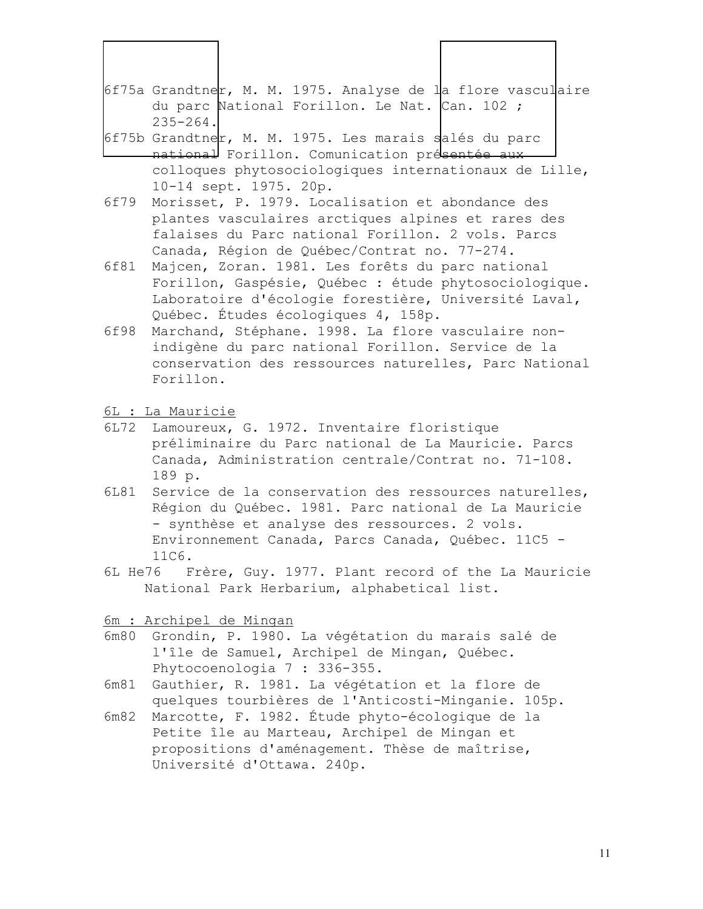- 6f75a Grandtner, M. M. 1975. Analyse de la flore vasculaire du parc National Forillon. Le Nat. Can. 102 ; 235-264.
- 6f75b Grandtner, M. M. 1975. Les marais salés du parc national Forillon. Comunication présentée aux colloques phytosociologiques internationaux de Lille, 10-14 sept. 1975. 20p.
- 6f79 Morisset, P. 1979. Localisation et abondance des plantes vasculaires arctiques alpines et rares des falaises du Parc national Forillon. 2 vols. Parcs Canada, Région de Québec/Contrat no. 77-274.
- 6f81 Majcen, Zoran. 1981. Les forêts du parc national Forillon, Gaspésie, Québec : étude phytosociologique. Laboratoire d'écologie forestière, Université Laval, Québec. Études écologiques 4, 158p.
- 6f98 Marchand, Stéphane. 1998. La flore vasculaire nonindigène du parc national Forillon. Service de la conservation des ressources naturelles, Parc National Forillon.
- 6L : La Mauricie

 $\overline{\phantom{a}}$ 

- 6L72 Lamoureux, G. 1972. Inventaire floristique préliminaire du Parc national de La Mauricie. Parcs Canada, Administration centrale/Contrat no. 71-108. 189 p.
- 6L81 Service de la conservation des ressources naturelles, Région du Québec. 1981. Parc national de La Mauricie - synthèse et analyse des ressources. 2 vols. Environnement Canada, Parcs Canada, Québec. 11C5 - 11C6.
- 6L He76 Frère, Guy. 1977. Plant record of the La Mauricie National Park Herbarium, alphabetical list.

6m : Archipel de Mingan

- 6m80 Grondin, P. 1980. La végétation du marais salé de l'île de Samuel, Archipel de Mingan, Québec. Phytocoenologia 7 : 336-355.
- 6m81 Gauthier, R. 1981. La végétation et la flore de quelques tourbières de l'Anticosti-Minganie. 105p.
- 6m82 Marcotte, F. 1982. Étude phyto-écologique de la Petite île au Marteau, Archipel de Mingan et propositions d'aménagement. Thèse de maîtrise, Université d'Ottawa. 240p.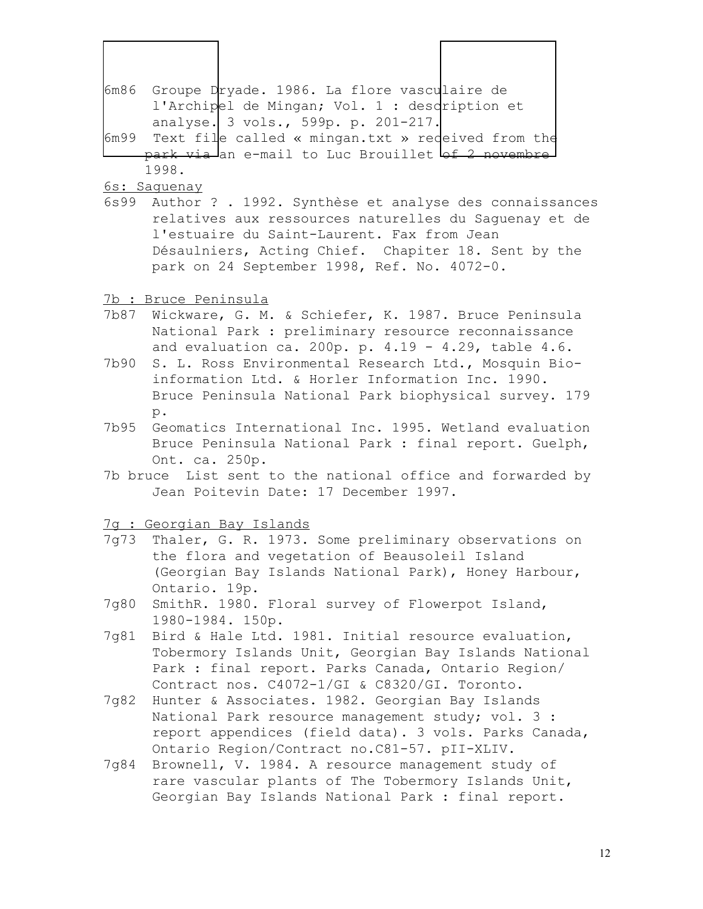- 6m86 Groupe Dryade. 1986. La flore vasculaire de l'Archipel de Mingan; Vol. 1 : description et analyse. 3 vols., 599p. p. 201-217.
- 6m99 Text file called « mingan.txt » received from the park via an e-mail to Luc Brouillet of 2 novembre 1998.

6s: Saguenay

 $\overline{\phantom{a}}$ 

6s99 Author ? . 1992. Synthèse et analyse des connaissances relatives aux ressources naturelles du Saguenay et de l'estuaire du Saint-Laurent. Fax from Jean Désaulniers, Acting Chief. Chapiter 18. Sent by the park on 24 September 1998, Ref. No. 4072-0.

7b : Bruce Peninsula

- 7b87 Wickware, G. M. & Schiefer, K. 1987. Bruce Peninsula National Park : preliminary resource reconnaissance and evaluation ca. 200p. p. 4.19 - 4.29, table 4.6.
- 7b90 S. L. Ross Environmental Research Ltd., Mosquin Bioinformation Ltd. & Horler Information Inc. 1990. Bruce Peninsula National Park biophysical survey. 179 p.
- 7b95 Geomatics International Inc. 1995. Wetland evaluation Bruce Peninsula National Park : final report. Guelph, Ont. ca. 250p.
- 7b bruce List sent to the national office and forwarded by Jean Poitevin Date: 17 December 1997.

7g : Georgian Bay Islands

- 7g73 Thaler, G. R. 1973. Some preliminary observations on the flora and vegetation of Beausoleil Island (Georgian Bay Islands National Park), Honey Harbour, Ontario. 19p.
- 7g80 SmithR. 1980. Floral survey of Flowerpot Island, 1980-1984. 150p.
- 7g81 Bird & Hale Ltd. 1981. Initial resource evaluation, Tobermory Islands Unit, Georgian Bay Islands National Park : final report. Parks Canada, Ontario Region/ Contract nos. C4072-1/GI & C8320/GI. Toronto.
- 7g82 Hunter & Associates. 1982. Georgian Bay Islands National Park resource management study; vol. 3 : report appendices (field data). 3 vols. Parks Canada, Ontario Region/Contract no.C81-57. pII-XLIV.
- 7g84 Brownell, V. 1984. A resource management study of rare vascular plants of The Tobermory Islands Unit, Georgian Bay Islands National Park : final report.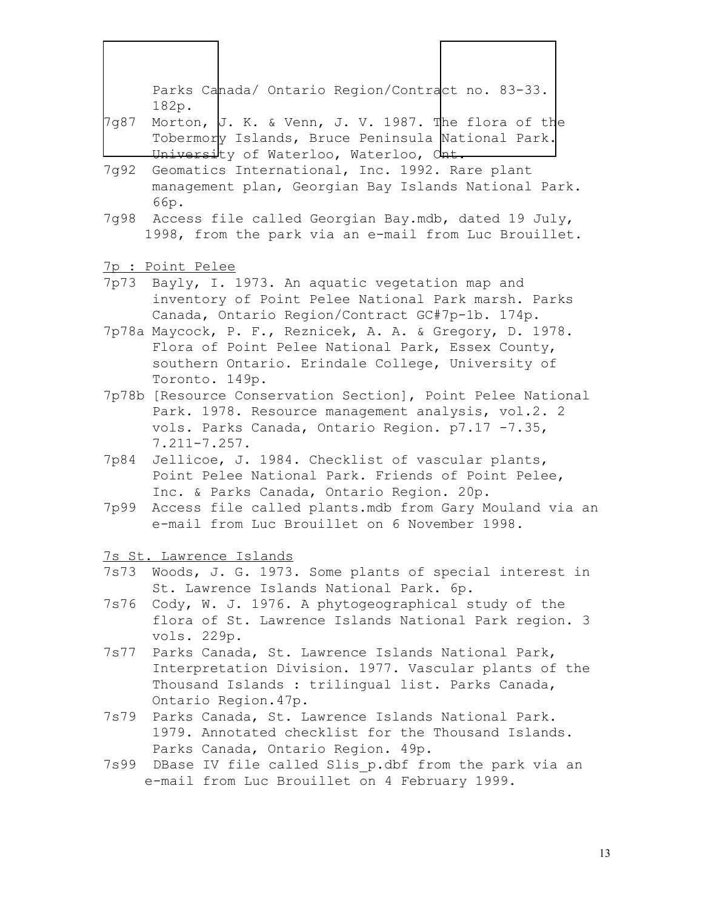Parks Canada/ Ontario Region/Contract no. 83-33. 182p.

- 7g87 Morton, J. K. & Venn, J. V. 1987. The flora of the Tobermory Islands, Bruce Peninsula National Park. University of Waterloo, Waterloo, Ont.
- 7g92 Geomatics International, Inc. 1992. Rare plant management plan, Georgian Bay Islands National Park. 66p.
- 7g98 Access file called Georgian Bay.mdb, dated 19 July, 1998, from the park via an e-mail from Luc Brouillet.
- 7p : Point Pelee

 $\overline{\phantom{a}}$ 

- 7p73 Bayly, I. 1973. An aquatic vegetation map and inventory of Point Pelee National Park marsh. Parks Canada, Ontario Region/Contract GC#7p-1b. 174p.
- 7p78a Maycock, P. F., Reznicek, A. A. & Gregory, D. 1978. Flora of Point Pelee National Park, Essex County, southern Ontario. Erindale College, University of Toronto. 149p.
- 7p78b [Resource Conservation Section], Point Pelee National Park. 1978. Resource management analysis, vol.2. 2 vols. Parks Canada, Ontario Region. p7.17 -7.35, 7.211-7.257.
- 7p84 Jellicoe, J. 1984. Checklist of vascular plants, Point Pelee National Park. Friends of Point Pelee, Inc. & Parks Canada, Ontario Region. 20p.
- 7p99 Access file called plants.mdb from Gary Mouland via an e-mail from Luc Brouillet on 6 November 1998.

7s St. Lawrence Islands

- 7s73 Woods, J. G. 1973. Some plants of special interest in St. Lawrence Islands National Park. 6p.
- 7s76 Cody, W. J. 1976. A phytogeographical study of the flora of St. Lawrence Islands National Park region. 3 vols. 229p.
- 7s77 Parks Canada, St. Lawrence Islands National Park, Interpretation Division. 1977. Vascular plants of the Thousand Islands : trilingual list. Parks Canada, Ontario Region.47p.
- 7s79 Parks Canada, St. Lawrence Islands National Park. 1979. Annotated checklist for the Thousand Islands. Parks Canada, Ontario Region. 49p.
- 7s99 DBase IV file called Slis p.dbf from the park via an e-mail from Luc Brouillet on 4 February 1999.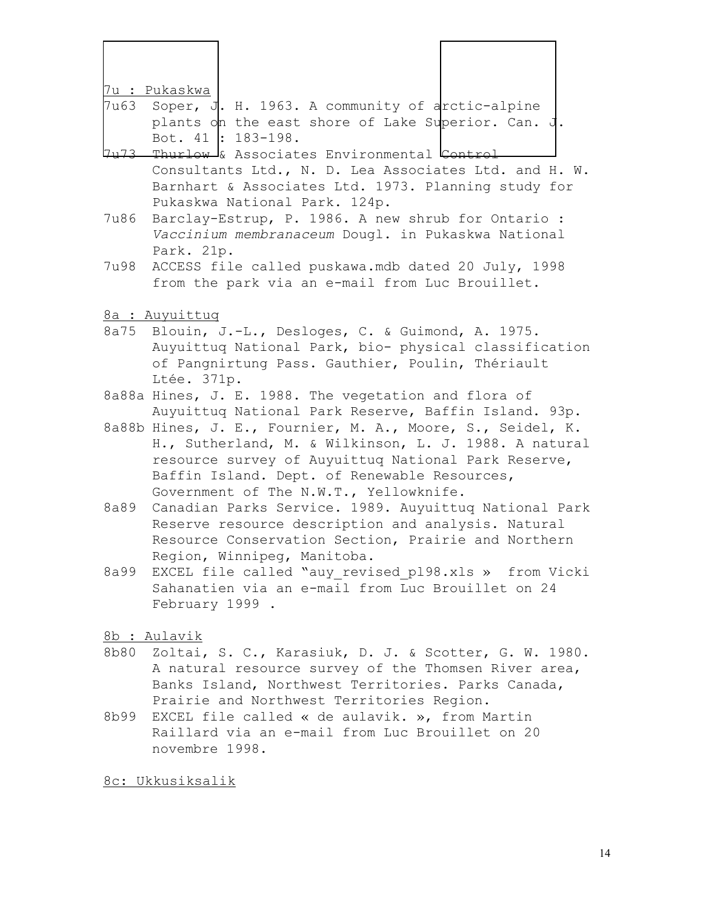| 7u : Pukaskwa<br>Soper, J. H. 1963. A community of arctic-alpine<br>7u63<br>plants on the east shore of Lake Superior. Can. J.<br>Bot. 41 : 183-198.<br>7u73 Thurlow & Associates Environmental Control<br>Consultants Ltd., N. D. Lea Associates Ltd. and H. W.<br>Barnhart & Associates Ltd. 1973. Planning study for<br>Pukaskwa National Park. 124p.<br>Barclay-Estrup, P. 1986. A new shrub for Ontario :<br>7u86<br>Vaccinium membranaceum Dougl. in Pukaskwa National<br>Park. 21p.<br>7u98<br>ACCESS file called puskawa.mdb dated 20 July, 1998<br>from the park via an e-mail from Luc Brouillet.<br>8a : Auyuittuq<br>8a75 Blouin, J.-L., Desloges, C. & Guimond, A. 1975.<br>Auyuittuq National Park, bio- physical classification<br>of Pangnirtung Pass. Gauthier, Poulin, Thériault<br>Ltée. 371p.<br>8a88a Hines, J. E. 1988. The vegetation and flora of<br>Auyuittuq National Park Reserve, Baffin Island. 93p.<br>8a88b Hines, J. E., Fournier, M. A., Moore, S., Seidel, K.<br>H., Sutherland, M. & Wilkinson, L. J. 1988. A natural<br>resource survey of Auyuittuq National Park Reserve,<br>Baffin Island. Dept. of Renewable Resources,<br>Government of The N.W.T., Yellowknife.<br>Canadian Parks Service. 1989. Auyuittuq National Park<br>8a89<br>Reserve resource description and analysis. Natural<br>Resource Conservation Section, Prairie and Northern<br>Region, Winnipeg, Manitoba.<br>EXCEL file called "auy revised pl98.xls » from Vicki<br>8a99<br>Sahanatien via an e-mail from Luc Brouillet on 24<br>February 1999.<br>8b : Aulavik<br>8b80 Zoltai, S. C., Karasiuk, D. J. & Scotter, G. W. 1980.<br>A natural resource survey of the Thomsen River area,<br>Banks Island, Northwest Territories. Parks Canada,<br>Prairie and Northwest Territories Region.<br>EXCEL file called « de aulavik. », from Martin<br>8b99 |  |                                                 |  |
|------------------------------------------------------------------------------------------------------------------------------------------------------------------------------------------------------------------------------------------------------------------------------------------------------------------------------------------------------------------------------------------------------------------------------------------------------------------------------------------------------------------------------------------------------------------------------------------------------------------------------------------------------------------------------------------------------------------------------------------------------------------------------------------------------------------------------------------------------------------------------------------------------------------------------------------------------------------------------------------------------------------------------------------------------------------------------------------------------------------------------------------------------------------------------------------------------------------------------------------------------------------------------------------------------------------------------------------------------------------------------------------------------------------------------------------------------------------------------------------------------------------------------------------------------------------------------------------------------------------------------------------------------------------------------------------------------------------------------------------------------------------------------------------------------------------------------------------------------------------|--|-------------------------------------------------|--|
|                                                                                                                                                                                                                                                                                                                                                                                                                                                                                                                                                                                                                                                                                                                                                                                                                                                                                                                                                                                                                                                                                                                                                                                                                                                                                                                                                                                                                                                                                                                                                                                                                                                                                                                                                                                                                                                                  |  |                                                 |  |
|                                                                                                                                                                                                                                                                                                                                                                                                                                                                                                                                                                                                                                                                                                                                                                                                                                                                                                                                                                                                                                                                                                                                                                                                                                                                                                                                                                                                                                                                                                                                                                                                                                                                                                                                                                                                                                                                  |  |                                                 |  |
|                                                                                                                                                                                                                                                                                                                                                                                                                                                                                                                                                                                                                                                                                                                                                                                                                                                                                                                                                                                                                                                                                                                                                                                                                                                                                                                                                                                                                                                                                                                                                                                                                                                                                                                                                                                                                                                                  |  |                                                 |  |
|                                                                                                                                                                                                                                                                                                                                                                                                                                                                                                                                                                                                                                                                                                                                                                                                                                                                                                                                                                                                                                                                                                                                                                                                                                                                                                                                                                                                                                                                                                                                                                                                                                                                                                                                                                                                                                                                  |  |                                                 |  |
|                                                                                                                                                                                                                                                                                                                                                                                                                                                                                                                                                                                                                                                                                                                                                                                                                                                                                                                                                                                                                                                                                                                                                                                                                                                                                                                                                                                                                                                                                                                                                                                                                                                                                                                                                                                                                                                                  |  |                                                 |  |
|                                                                                                                                                                                                                                                                                                                                                                                                                                                                                                                                                                                                                                                                                                                                                                                                                                                                                                                                                                                                                                                                                                                                                                                                                                                                                                                                                                                                                                                                                                                                                                                                                                                                                                                                                                                                                                                                  |  |                                                 |  |
|                                                                                                                                                                                                                                                                                                                                                                                                                                                                                                                                                                                                                                                                                                                                                                                                                                                                                                                                                                                                                                                                                                                                                                                                                                                                                                                                                                                                                                                                                                                                                                                                                                                                                                                                                                                                                                                                  |  |                                                 |  |
|                                                                                                                                                                                                                                                                                                                                                                                                                                                                                                                                                                                                                                                                                                                                                                                                                                                                                                                                                                                                                                                                                                                                                                                                                                                                                                                                                                                                                                                                                                                                                                                                                                                                                                                                                                                                                                                                  |  |                                                 |  |
|                                                                                                                                                                                                                                                                                                                                                                                                                                                                                                                                                                                                                                                                                                                                                                                                                                                                                                                                                                                                                                                                                                                                                                                                                                                                                                                                                                                                                                                                                                                                                                                                                                                                                                                                                                                                                                                                  |  |                                                 |  |
|                                                                                                                                                                                                                                                                                                                                                                                                                                                                                                                                                                                                                                                                                                                                                                                                                                                                                                                                                                                                                                                                                                                                                                                                                                                                                                                                                                                                                                                                                                                                                                                                                                                                                                                                                                                                                                                                  |  |                                                 |  |
|                                                                                                                                                                                                                                                                                                                                                                                                                                                                                                                                                                                                                                                                                                                                                                                                                                                                                                                                                                                                                                                                                                                                                                                                                                                                                                                                                                                                                                                                                                                                                                                                                                                                                                                                                                                                                                                                  |  |                                                 |  |
|                                                                                                                                                                                                                                                                                                                                                                                                                                                                                                                                                                                                                                                                                                                                                                                                                                                                                                                                                                                                                                                                                                                                                                                                                                                                                                                                                                                                                                                                                                                                                                                                                                                                                                                                                                                                                                                                  |  |                                                 |  |
|                                                                                                                                                                                                                                                                                                                                                                                                                                                                                                                                                                                                                                                                                                                                                                                                                                                                                                                                                                                                                                                                                                                                                                                                                                                                                                                                                                                                                                                                                                                                                                                                                                                                                                                                                                                                                                                                  |  |                                                 |  |
|                                                                                                                                                                                                                                                                                                                                                                                                                                                                                                                                                                                                                                                                                                                                                                                                                                                                                                                                                                                                                                                                                                                                                                                                                                                                                                                                                                                                                                                                                                                                                                                                                                                                                                                                                                                                                                                                  |  |                                                 |  |
|                                                                                                                                                                                                                                                                                                                                                                                                                                                                                                                                                                                                                                                                                                                                                                                                                                                                                                                                                                                                                                                                                                                                                                                                                                                                                                                                                                                                                                                                                                                                                                                                                                                                                                                                                                                                                                                                  |  |                                                 |  |
|                                                                                                                                                                                                                                                                                                                                                                                                                                                                                                                                                                                                                                                                                                                                                                                                                                                                                                                                                                                                                                                                                                                                                                                                                                                                                                                                                                                                                                                                                                                                                                                                                                                                                                                                                                                                                                                                  |  |                                                 |  |
|                                                                                                                                                                                                                                                                                                                                                                                                                                                                                                                                                                                                                                                                                                                                                                                                                                                                                                                                                                                                                                                                                                                                                                                                                                                                                                                                                                                                                                                                                                                                                                                                                                                                                                                                                                                                                                                                  |  |                                                 |  |
|                                                                                                                                                                                                                                                                                                                                                                                                                                                                                                                                                                                                                                                                                                                                                                                                                                                                                                                                                                                                                                                                                                                                                                                                                                                                                                                                                                                                                                                                                                                                                                                                                                                                                                                                                                                                                                                                  |  |                                                 |  |
|                                                                                                                                                                                                                                                                                                                                                                                                                                                                                                                                                                                                                                                                                                                                                                                                                                                                                                                                                                                                                                                                                                                                                                                                                                                                                                                                                                                                                                                                                                                                                                                                                                                                                                                                                                                                                                                                  |  |                                                 |  |
|                                                                                                                                                                                                                                                                                                                                                                                                                                                                                                                                                                                                                                                                                                                                                                                                                                                                                                                                                                                                                                                                                                                                                                                                                                                                                                                                                                                                                                                                                                                                                                                                                                                                                                                                                                                                                                                                  |  |                                                 |  |
|                                                                                                                                                                                                                                                                                                                                                                                                                                                                                                                                                                                                                                                                                                                                                                                                                                                                                                                                                                                                                                                                                                                                                                                                                                                                                                                                                                                                                                                                                                                                                                                                                                                                                                                                                                                                                                                                  |  |                                                 |  |
|                                                                                                                                                                                                                                                                                                                                                                                                                                                                                                                                                                                                                                                                                                                                                                                                                                                                                                                                                                                                                                                                                                                                                                                                                                                                                                                                                                                                                                                                                                                                                                                                                                                                                                                                                                                                                                                                  |  |                                                 |  |
|                                                                                                                                                                                                                                                                                                                                                                                                                                                                                                                                                                                                                                                                                                                                                                                                                                                                                                                                                                                                                                                                                                                                                                                                                                                                                                                                                                                                                                                                                                                                                                                                                                                                                                                                                                                                                                                                  |  |                                                 |  |
|                                                                                                                                                                                                                                                                                                                                                                                                                                                                                                                                                                                                                                                                                                                                                                                                                                                                                                                                                                                                                                                                                                                                                                                                                                                                                                                                                                                                                                                                                                                                                                                                                                                                                                                                                                                                                                                                  |  |                                                 |  |
|                                                                                                                                                                                                                                                                                                                                                                                                                                                                                                                                                                                                                                                                                                                                                                                                                                                                                                                                                                                                                                                                                                                                                                                                                                                                                                                                                                                                                                                                                                                                                                                                                                                                                                                                                                                                                                                                  |  | Raillard via an e-mail from Luc Brouillet on 20 |  |
| novembre 1998.                                                                                                                                                                                                                                                                                                                                                                                                                                                                                                                                                                                                                                                                                                                                                                                                                                                                                                                                                                                                                                                                                                                                                                                                                                                                                                                                                                                                                                                                                                                                                                                                                                                                                                                                                                                                                                                   |  |                                                 |  |

8c: Ukkusiksalik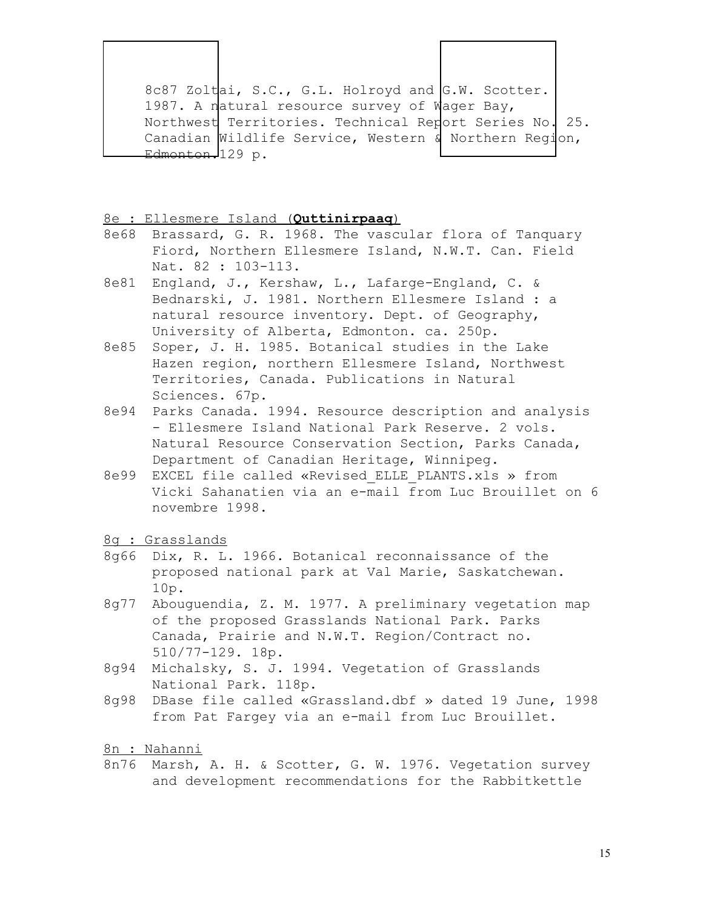8c87 Zoltai, S.C., G.L. Holroyd and G.W. Scotter. 1987. A natural resource survey of Wager Bay, Northwest Territories. Technical Report Series No. 25. Canadian Wildlife Service, Western & Northern Region, Edmonton.129 p.

#### 8e : Ellesmere Island (**Quttinirpaaq**)

- 8e68 Brassard, G. R. 1968. The vascular flora of Tanquary Fiord, Northern Ellesmere Island, N.W.T. Can. Field Nat. 82 : 103-113.
- 8e81 England, J., Kershaw, L., Lafarge-England, C. & Bednarski, J. 1981. Northern Ellesmere Island : a natural resource inventory. Dept. of Geography, University of Alberta, Edmonton. ca. 250p.
- 8e85 Soper, J. H. 1985. Botanical studies in the Lake Hazen region, northern Ellesmere Island, Northwest Territories, Canada. Publications in Natural Sciences. 67p.
- 8e94 Parks Canada. 1994. Resource description and analysis - Ellesmere Island National Park Reserve. 2 vols. Natural Resource Conservation Section, Parks Canada, Department of Canadian Heritage, Winnipeg.
- 8e99 EXCEL file called «Revised\_ELLE\_PLANTS.xls » from Vicki Sahanatien via an e-mail from Luc Brouillet on 6 novembre 1998.

#### 8g : Grasslands

 $\overline{\phantom{a}}$ 

- 8g66 Dix, R. L. 1966. Botanical reconnaissance of the proposed national park at Val Marie, Saskatchewan. 10p.
- 8g77 Abouguendia, Z. M. 1977. A preliminary vegetation map of the proposed Grasslands National Park. Parks Canada, Prairie and N.W.T. Region/Contract no. 510/77-129. 18p.
- 8g94 Michalsky, S. J. 1994. Vegetation of Grasslands National Park. 118p.
- 8g98 DBase file called «Grassland.dbf » dated 19 June, 1998 from Pat Fargey via an e-mail from Luc Brouillet.

#### 8n : Nahanni

8n76 Marsh, A. H. & Scotter, G. W. 1976. Vegetation survey and development recommendations for the Rabbitkettle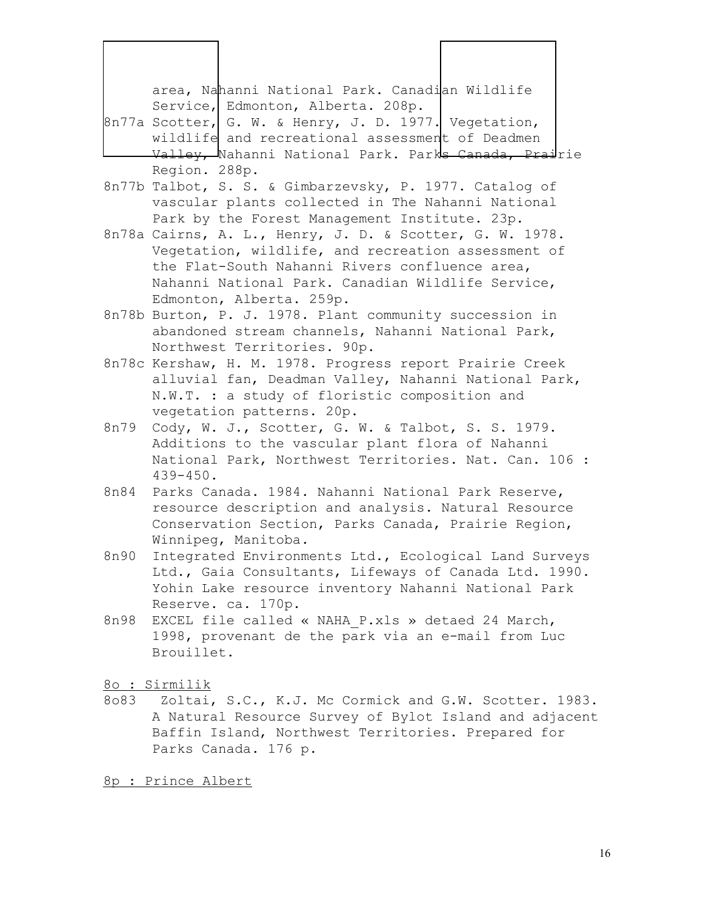area, Nahanni National Park. Canadian Wildlife Service, Edmonton, Alberta. 208p.  $8n77a$  Scotter, G. W. & Henry, J. D. 1977. Vegetation,

- wildlife and recreational assessment of Deadmen Valley, Nahanni National Park. Parks Canada, Prairie Region. 288p.
- 8n77b Talbot, S. S. & Gimbarzevsky, P. 1977. Catalog of vascular plants collected in The Nahanni National Park by the Forest Management Institute. 23p.
- 8n78a Cairns, A. L., Henry, J. D. & Scotter, G. W. 1978. Vegetation, wildlife, and recreation assessment of the Flat-South Nahanni Rivers confluence area, Nahanni National Park. Canadian Wildlife Service, Edmonton, Alberta. 259p.
- 8n78b Burton, P. J. 1978. Plant community succession in abandoned stream channels, Nahanni National Park, Northwest Territories. 90p.
- 8n78c Kershaw, H. M. 1978. Progress report Prairie Creek alluvial fan, Deadman Valley, Nahanni National Park, N.W.T. : a study of floristic composition and vegetation patterns. 20p.
- 8n79 Cody, W. J., Scotter, G. W. & Talbot, S. S. 1979. Additions to the vascular plant flora of Nahanni National Park, Northwest Territories. Nat. Can. 106 : 439-450.
- 8n84 Parks Canada. 1984. Nahanni National Park Reserve, resource description and analysis. Natural Resource Conservation Section, Parks Canada, Prairie Region, Winnipeg, Manitoba.
- 8n90 Integrated Environments Ltd., Ecological Land Surveys Ltd., Gaia Consultants, Lifeways of Canada Ltd. 1990. Yohin Lake resource inventory Nahanni National Park Reserve. ca. 170p.
- 8n98 EXCEL file called « NAHA P.xls » detaed 24 March, 1998, provenant de the park via an e-mail from Luc Brouillet.

8o : Sirmilik

 $\overline{\phantom{a}}$ 

8o83 Zoltai, S.C., K.J. Mc Cormick and G.W. Scotter. 1983. A Natural Resource Survey of Bylot Island and adjacent Baffin Island, Northwest Territories. Prepared for Parks Canada. 176 p.

8p : Prince Albert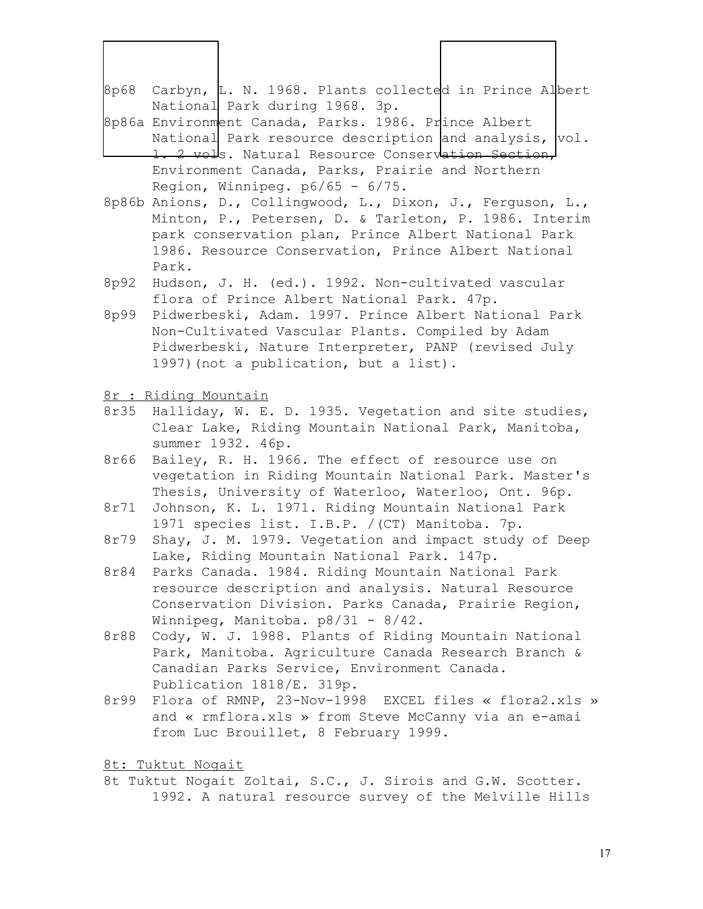|      | 8p68 Carbyn, L. N. 1968. Plants collected in Prince Albert                                                                                      |
|------|-------------------------------------------------------------------------------------------------------------------------------------------------|
|      | National Park during 1968. 3p.<br>8p86a Environment Canada, Parks. 1986. Prince Albert<br>National Park resource description and analysis, vol. |
|      | <del>1. 2 vol</del> s. Natural Resource Conservation Section,                                                                                   |
|      | Environment Canada, Parks, Prairie and Northern                                                                                                 |
|      | Region, Winnipeg. $p6/65 - 6/75$ .                                                                                                              |
|      | 8p86b Anions, D., Collingwood, L., Dixon, J., Ferguson, L.,<br>Minton, P., Petersen, D. & Tarleton, P. 1986. Interim                            |
|      | park conservation plan, Prince Albert National Park                                                                                             |
|      | 1986. Resource Conservation, Prince Albert National                                                                                             |
|      | Park.                                                                                                                                           |
| 8p92 | Hudson, J. H. (ed.). 1992. Non-cultivated vascular                                                                                              |
|      | flora of Prince Albert National Park. 47p.                                                                                                      |
| 8p99 | Pidwerbeski, Adam. 1997. Prince Albert National Park                                                                                            |
|      | Non-Cultivated Vascular Plants. Compiled by Adam                                                                                                |
|      | Pidwerbeski, Nature Interpreter, PANP (revised July                                                                                             |
|      | 1997) (not a publication, but a list).                                                                                                          |

8r : Riding Mountain

- 8r35 Halliday, W. E. D. 1935. Vegetation and site studies, Clear Lake, Riding Mountain National Park, Manitoba, summer 1932. 46p.
- 8r66 Bailey, R. H. 1966. The effect of resource use on vegetation in Riding Mountain National Park. Master's Thesis, University of Waterloo, Waterloo, Ont. 96p.
- 8r71 Johnson, K. L. 1971. Riding Mountain National Park 1971 species list. I.B.P. /(CT) Manitoba. 7p.
- 8r79 Shay, J. M. 1979. Vegetation and impact study of Deep Lake, Riding Mountain National Park. 147p.
- 8r84 Parks Canada. 1984. Riding Mountain National Park resource description and analysis. Natural Resource Conservation Division. Parks Canada, Prairie Region, Winnipeg, Manitoba. p8/31 - 8/42.
- 8r88 Cody, W. J. 1988. Plants of Riding Mountain National Park, Manitoba. Agriculture Canada Research Branch & Canadian Parks Service, Environment Canada. Publication 1818/E. 319p.
- 8r99 Flora of RMNP, 23-Nov-1998 EXCEL files « flora2.xls » and « rmflora.xls » from Steve McCanny via an e-amai from Luc Brouillet, 8 February 1999.

8t: Tuktut Nogait

8t Tuktut Nogait Zoltai, S.C., J. Sirois and G.W. Scotter. 1992. A natural resource survey of the Melville Hills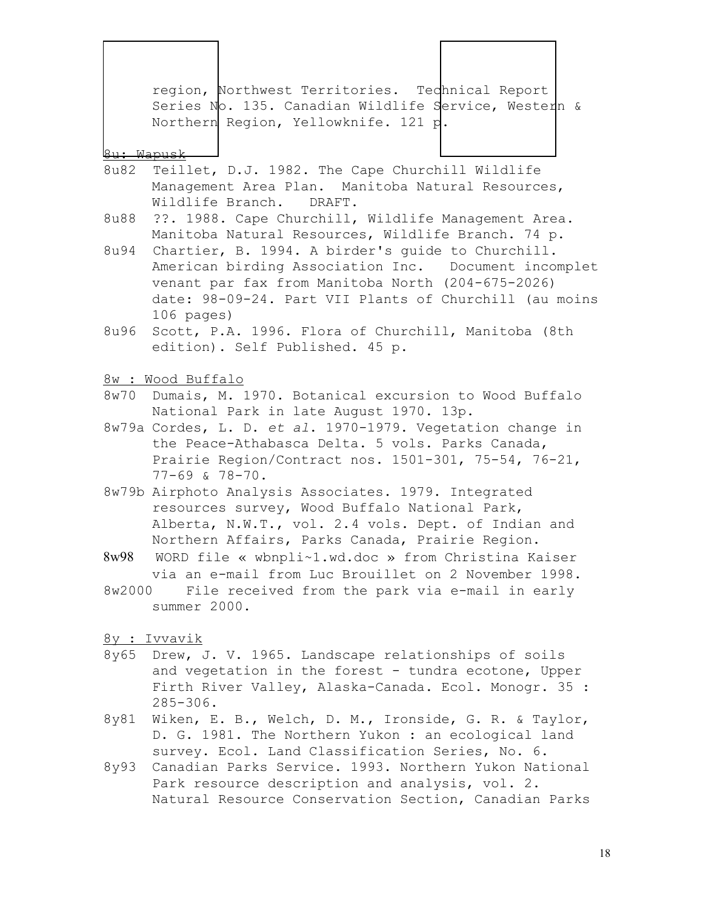region, Northwest Territories. Technical Report Series No. 135. Canadian Wildlife Service, Western & Northern Region, Yellowknife. 121 p.

#### 8u: Wapusk

- 8u82 Teillet, D.J. 1982. The Cape Churchill Wildlife Management Area Plan. Manitoba Natural Resources, Wildlife Branch. DRAFT.
- 8u88 ??. 1988. Cape Churchill, Wildlife Management Area. Manitoba Natural Resources, Wildlife Branch. 74 p.
- 8u94 Chartier, B. 1994. A birder's guide to Churchill. American birding Association Inc. Document incomplet venant par fax from Manitoba North (204-675-2026) date: 98-09-24. Part VII Plants of Churchill (au moins 106 pages)
- 8u96 Scott, P.A. 1996. Flora of Churchill, Manitoba (8th edition). Self Published. 45 p.
- 8w : Wood Buffalo
- 8w70 Dumais, M. 1970. Botanical excursion to Wood Buffalo National Park in late August 1970. 13p.
- 8w79a Cordes, L. D. *et al*. 1970-1979. Vegetation change in the Peace-Athabasca Delta. 5 vols. Parks Canada, Prairie Region/Contract nos. 1501-301, 75-54, 76-21, 77-69 & 78-70.
- 8w79b Airphoto Analysis Associates. 1979. Integrated resources survey, Wood Buffalo National Park, Alberta, N.W.T., vol. 2. 4 vols. Dept. of Indian and Northern Affairs, Parks Canada, Prairie Region.
- 8w98 WORD file « wbnpli~1.wd.doc » from Christina Kaiser via an e-mail from Luc Brouillet on 2 November 1998.
- 8w2000 File received from the park via e-mail in early summer 2000.
- 8y : Ivvavik
- 8y65 Drew, J. V. 1965. Landscape relationships of soils and vegetation in the forest - tundra ecotone, Upper Firth River Valley, Alaska-Canada. Ecol. Monogr. 35 : 285-306.
- 8y81 Wiken, E. B., Welch, D. M., Ironside, G. R. & Taylor, D. G. 1981. The Northern Yukon : an ecological land survey. Ecol. Land Classification Series, No. 6.
- 8y93 Canadian Parks Service. 1993. Northern Yukon National Park resource description and analysis, vol. 2. Natural Resource Conservation Section, Canadian Parks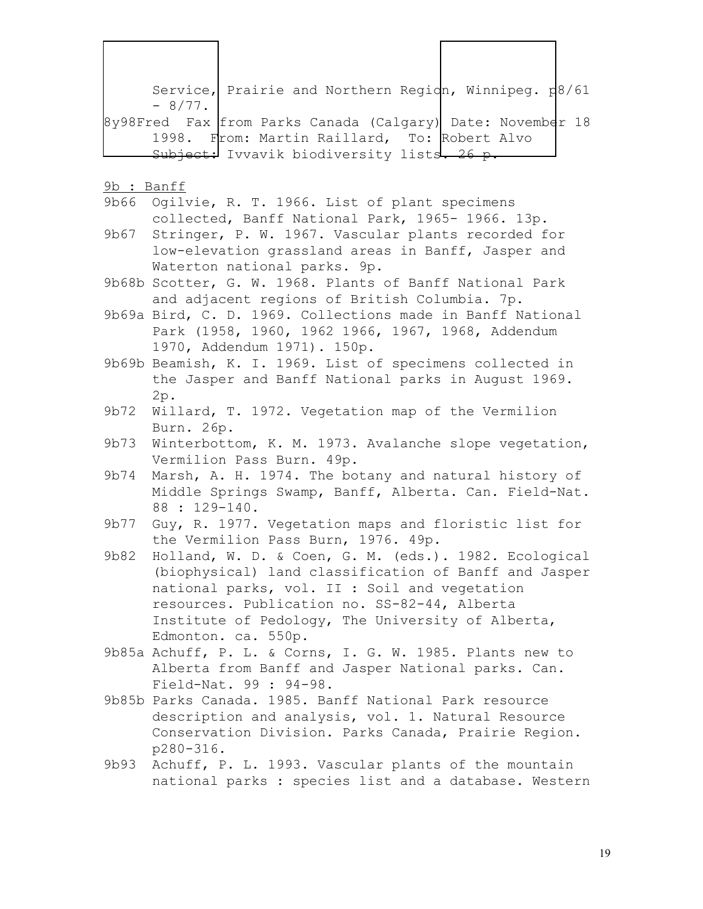Service, Prairie and Northern Region, Winnipeg.  $p8/61$  $-8/77$ . 8y98Fred Fax from Parks Canada (Calgary) Date: November 18 1998. From: Martin Raillard, To: Robert Alvo Subject: Ivvavik biodiversity lists. 26 p. 9b : Banff 9b66 Ogilvie, R. T. 1966. List of plant specimens collected, Banff National Park, 1965- 1966. 13p. 9b67 Stringer, P. W. 1967. Vascular plants recorded for low-elevation grassland areas in Banff, Jasper and Waterton national parks. 9p. 9b68b Scotter, G. W. 1968. Plants of Banff National Park and adjacent regions of British Columbia. 7p. 9b69a Bird, C. D. 1969. Collections made in Banff National Park (1958, 1960, 1962 1966, 1967, 1968, Addendum 1970, Addendum 1971). 150p. 9b69b Beamish, K. I. 1969. List of specimens collected in the Jasper and Banff National parks in August 1969. 2p. 9b72 Willard, T. 1972. Vegetation map of the Vermilion Burn. 26p. 9b73 Winterbottom, K. M. 1973. Avalanche slope vegetation, Vermilion Pass Burn. 49p. 9b74 Marsh, A. H. 1974. The botany and natural history of Middle Springs Swamp, Banff, Alberta. Can. Field-Nat. 88 : 129-140. 9b77 Guy, R. 1977. Vegetation maps and floristic list for the Vermilion Pass Burn, 1976. 49p. 9b82 Holland, W. D. & Coen, G. M. (eds.). 1982. Ecological (biophysical) land classification of Banff and Jasper national parks, vol. II : Soil and vegetation resources. Publication no. SS-82-44, Alberta Institute of Pedology, The University of Alberta, Edmonton. ca. 550p. 9b85a Achuff, P. L. & Corns, I. G. W. 1985. Plants new to Alberta from Banff and Jasper National parks. Can. Field-Nat. 99 : 94-98. 9b85b Parks Canada. 1985. Banff National Park resource description and analysis, vol. 1. Natural Resource Conservation Division. Parks Canada, Prairie Region. p280-316. 9b93 Achuff, P. L. 1993. Vascular plants of the mountain national parks : species list and a database. Western  $\overline{\phantom{a}}$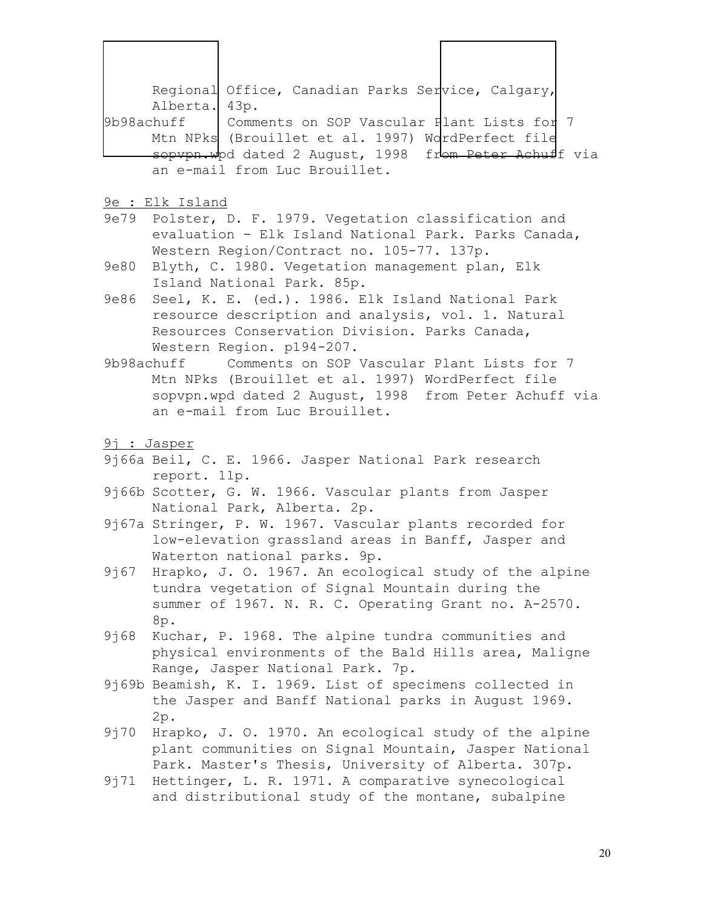Regional Office, Canadian Parks Service, Calgary, Alberta. 43p. 9b98achuff Comments on SOP Vascular Plant Lists for 7 Mtn NPks (Brouillet et al. 1997) WordPerfect file sopvpn.wpd dated 2 August, 1998 from Peter Achuff via an e-mail from Luc Brouillet.  $\overline{\phantom{a}}$ 

- 9e : Elk Island
- 9e79 Polster, D. F. 1979. Vegetation classification and evaluation - Elk Island National Park. Parks Canada, Western Region/Contract no. 105-77. 137p.
- 9e80 Blyth, C. 1980. Vegetation management plan, Elk Island National Park. 85p.
- 9e86 Seel, K. E. (ed.). 1986. Elk Island National Park resource description and analysis, vol. 1. Natural Resources Conservation Division. Parks Canada, Western Region. p194-207.
- 9b98achuff Comments on SOP Vascular Plant Lists for 7 Mtn NPks (Brouillet et al. 1997) WordPerfect file sopvpn.wpd dated 2 August, 1998 from Peter Achuff via an e-mail from Luc Brouillet.
- 9j : Jasper
- 9j66a Beil, C. E. 1966. Jasper National Park research report. 11p.
- 9j66b Scotter, G. W. 1966. Vascular plants from Jasper National Park, Alberta. 2p.
- 9j67a Stringer, P. W. 1967. Vascular plants recorded for low-elevation grassland areas in Banff, Jasper and Waterton national parks. 9p.
- 9j67 Hrapko, J. O. 1967. An ecological study of the alpine tundra vegetation of Signal Mountain during the summer of 1967. N. R. C. Operating Grant no. A-2570. 8p.
- 9j68 Kuchar, P. 1968. The alpine tundra communities and physical environments of the Bald Hills area, Maligne Range, Jasper National Park. 7p.
- 9j69b Beamish, K. I. 1969. List of specimens collected in the Jasper and Banff National parks in August 1969. 2p.
- 9j70 Hrapko, J. O. 1970. An ecological study of the alpine plant communities on Signal Mountain, Jasper National Park. Master's Thesis, University of Alberta. 307p.
- 9j71 Hettinger, L. R. 1971. A comparative synecological and distributional study of the montane, subalpine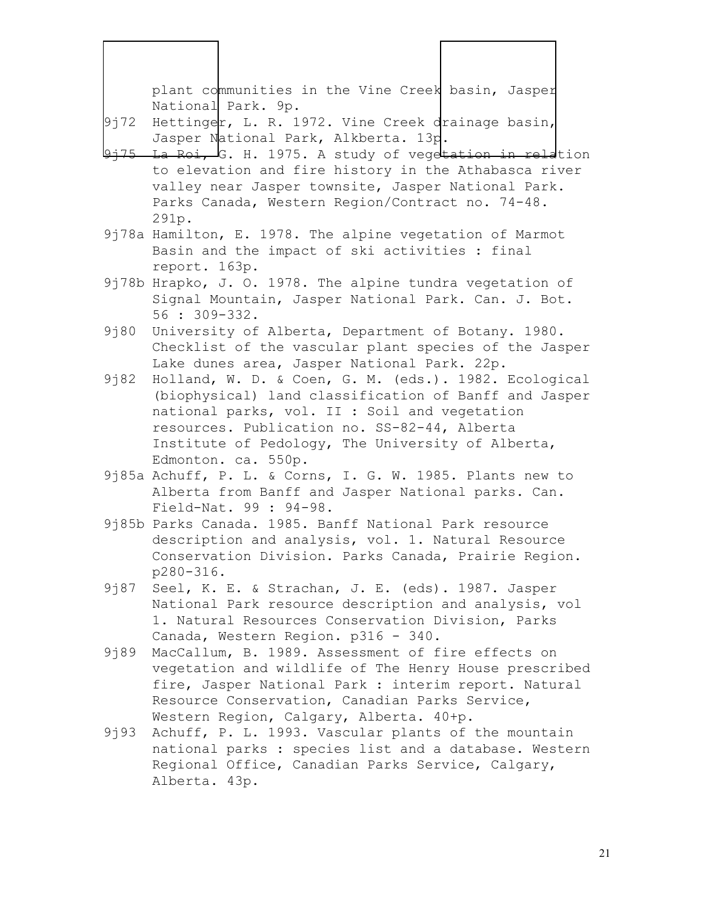plant communities in the Vine Creek basin, Jasper National Park. 9p.

9j72 Hettinger, L. R. 1972. Vine Creek drainage basin, Jasper National Park, Alkberta. 13p.

- La Roi, G. H. 1975. A study of vegetation in relation to elevation and fire history in the Athabasca river valley near Jasper townsite, Jasper National Park. Parks Canada, Western Region/Contract no. 74-48. 291p.
- 9j78a Hamilton, E. 1978. The alpine vegetation of Marmot Basin and the impact of ski activities : final report. 163p.
- 9j78b Hrapko, J. O. 1978. The alpine tundra vegetation of Signal Mountain, Jasper National Park. Can. J. Bot. 56 : 309-332.
- 9<sup>180</sup> University of Alberta, Department of Botany. 1980. Checklist of the vascular plant species of the Jasper Lake dunes area, Jasper National Park. 22p.
- 9j82 Holland, W. D. & Coen, G. M. (eds.). 1982. Ecological (biophysical) land classification of Banff and Jasper national parks, vol. II : Soil and vegetation resources. Publication no. SS-82-44, Alberta Institute of Pedology, The University of Alberta, Edmonton. ca. 550p.
- 9j85a Achuff, P. L. & Corns, I. G. W. 1985. Plants new to Alberta from Banff and Jasper National parks. Can. Field-Nat. 99 : 94-98.
- 9j85b Parks Canada. 1985. Banff National Park resource description and analysis, vol. 1. Natural Resource Conservation Division. Parks Canada, Prairie Region. p280-316.
- 9j87 Seel, K. E. & Strachan, J. E. (eds). 1987. Jasper National Park resource description and analysis, vol 1. Natural Resources Conservation Division, Parks Canada, Western Region. p316 - 340.
- 9j89 MacCallum, B. 1989. Assessment of fire effects on vegetation and wildlife of The Henry House prescribed fire, Jasper National Park : interim report. Natural Resource Conservation, Canadian Parks Service, Western Region, Calgary, Alberta. 40+p.
- 9j93 Achuff, P. L. 1993. Vascular plants of the mountain national parks : species list and a database. Western Regional Office, Canadian Parks Service, Calgary, Alberta. 43p.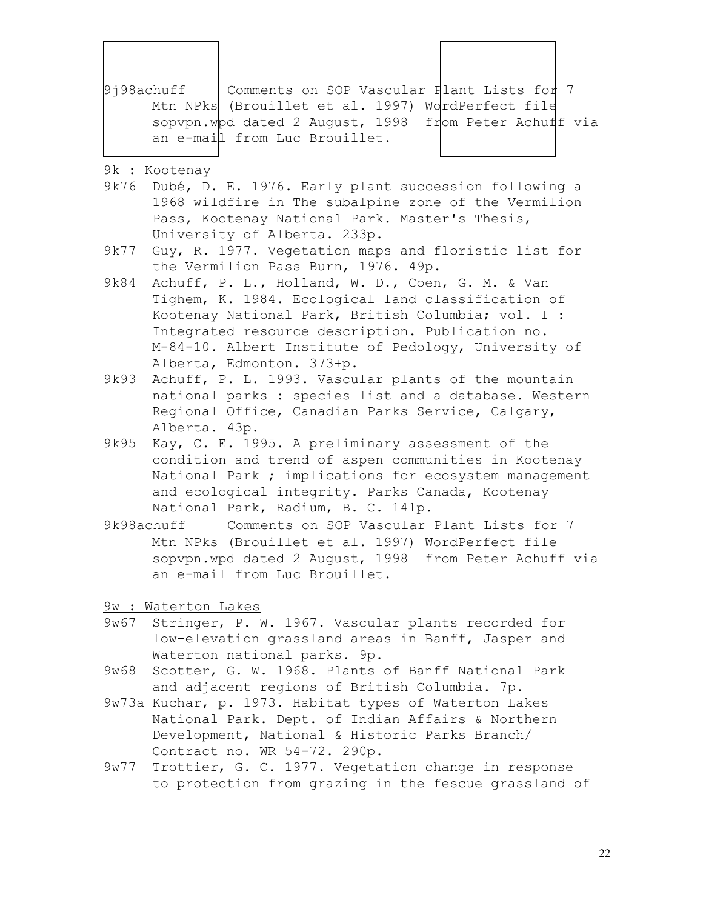| 9i98achuff | Comments on SOP Vascular Plant Lists for 7            |  |
|------------|-------------------------------------------------------|--|
|            | Mtn NPks (Brouillet et al. 1997) WordPerfect file     |  |
|            | sopvpn.wpd dated 2 August, 1998 from Peter Achuff via |  |
|            | an e-mail from Luc Brouillet.                         |  |

9k : Kootenay

 $\overline{\phantom{a}}$ 

- 9k76 Dubé, D. E. 1976. Early plant succession following a 1968 wildfire in The subalpine zone of the Vermilion Pass, Kootenay National Park. Master's Thesis, University of Alberta. 233p.
- 9k77 Guy, R. 1977. Vegetation maps and floristic list for the Vermilion Pass Burn, 1976. 49p.
- 9k84 Achuff, P. L., Holland, W. D., Coen, G. M. & Van Tighem, K. 1984. Ecological land classification of Kootenay National Park, British Columbia; vol. I : Integrated resource description. Publication no. M-84-10. Albert Institute of Pedology, University of Alberta, Edmonton. 373+p.
- 9k93 Achuff, P. L. 1993. Vascular plants of the mountain national parks : species list and a database. Western Regional Office, Canadian Parks Service, Calgary, Alberta. 43p.
- 9k95 Kay, C. E. 1995. A preliminary assessment of the condition and trend of aspen communities in Kootenay National Park ; implications for ecosystem management and ecological integrity. Parks Canada, Kootenay National Park, Radium, B. C. 141p.
- 9k98achuff Comments on SOP Vascular Plant Lists for 7 Mtn NPks (Brouillet et al. 1997) WordPerfect file sopvpn.wpd dated 2 August, 1998 from Peter Achuff via an e-mail from Luc Brouillet.

9w : Waterton Lakes

- 9w67 Stringer, P. W. 1967. Vascular plants recorded for low-elevation grassland areas in Banff, Jasper and Waterton national parks. 9p.
- 9w68 Scotter, G. W. 1968. Plants of Banff National Park and adjacent regions of British Columbia. 7p.
- 9w73a Kuchar, p. 1973. Habitat types of Waterton Lakes National Park. Dept. of Indian Affairs & Northern Development, National & Historic Parks Branch/ Contract no. WR 54-72. 290p.
- 9w77 Trottier, G. C. 1977. Vegetation change in response to protection from grazing in the fescue grassland of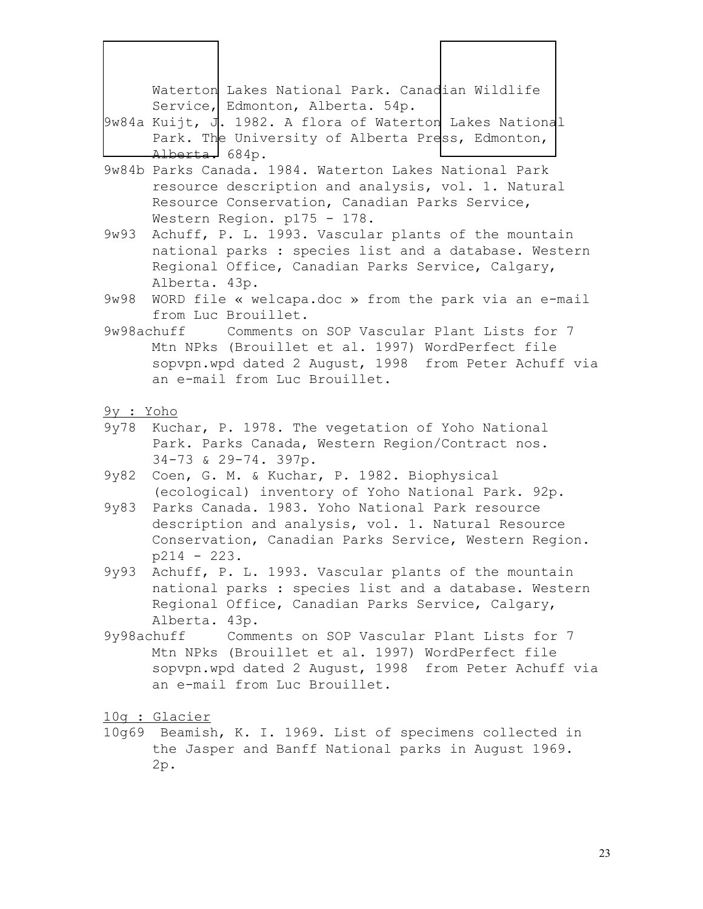|            | Waterton Lakes National Park. Canadian Wildlife<br>Service, Edmonton, Alberta. 54p.<br>$9w84a$ Kuijt, J. 1982. A flora of Waterton Lakes National<br>Park. The University of Alberta Press, Edmonton,<br>Alberta. 684p. |
|------------|-------------------------------------------------------------------------------------------------------------------------------------------------------------------------------------------------------------------------|
|            | 9w84b Parks Canada. 1984. Waterton Lakes National Park                                                                                                                                                                  |
| 9w93       | resource description and analysis, vol. 1. Natural<br>Resource Conservation, Canadian Parks Service,<br>Western Region. p175 - 178.<br>Achuff, P. L. 1993. Vascular plants of the mountain                              |
|            | national parks : species list and a database. Western<br>Regional Office, Canadian Parks Service, Calgary,<br>Alberta. 43p.                                                                                             |
| 9w98       | WORD file « welcapa.doc » from the park via an e-mail<br>from Luc Brouillet.                                                                                                                                            |
|            | 9w98achuff Comments on SOP Vascular Plant Lists for 7                                                                                                                                                                   |
|            | Mtn NPks (Brouillet et al. 1997) WordPerfect file<br>sopvpn.wpd dated 2 August, 1998 from Peter Achuff via<br>an e-mail from Luc Brouillet.                                                                             |
| 9y : Yoho  |                                                                                                                                                                                                                         |
|            | 9y78 Kuchar, P. 1978. The vegetation of Yoho National<br>Park. Parks Canada, Western Region/Contract nos.<br>34-73 & 29-74. 397p.                                                                                       |
| 9y82       | Coen, G. M. & Kuchar, P. 1982. Biophysical<br>(ecological) inventory of Yoho National Park. 92p.                                                                                                                        |
| 9y83       | Parks Canada. 1983. Yoho National Park resource<br>description and analysis, vol. 1. Natural Resource<br>Conservation, Canadian Parks Service, Western Region.<br>$n214 - 223$ .                                        |
| 9y93       | Achuff, P. L. 1993. Vascular plants of the mountain<br>national parks : species list and a database. Western<br>Regional Office, Canadian Parks Service, Calgary,<br>Alberta. 43p.                                      |
| 9y98achuff | Comments on SOP Vascular Plant Lists for 7<br>Mtn NPks (Brouillet et al. 1997) WordPerfect file<br>sopvpn.wpd dated 2 August, 1998 from Peter Achuff via<br>an e-mail from Luc Brouillet.                               |
|            | 10g : Glacier<br>10g69 Beamish, K. I. 1969. List of specimens collected in<br>the Jasper and Banff National parks in August 1969.<br>2p.                                                                                |
|            |                                                                                                                                                                                                                         |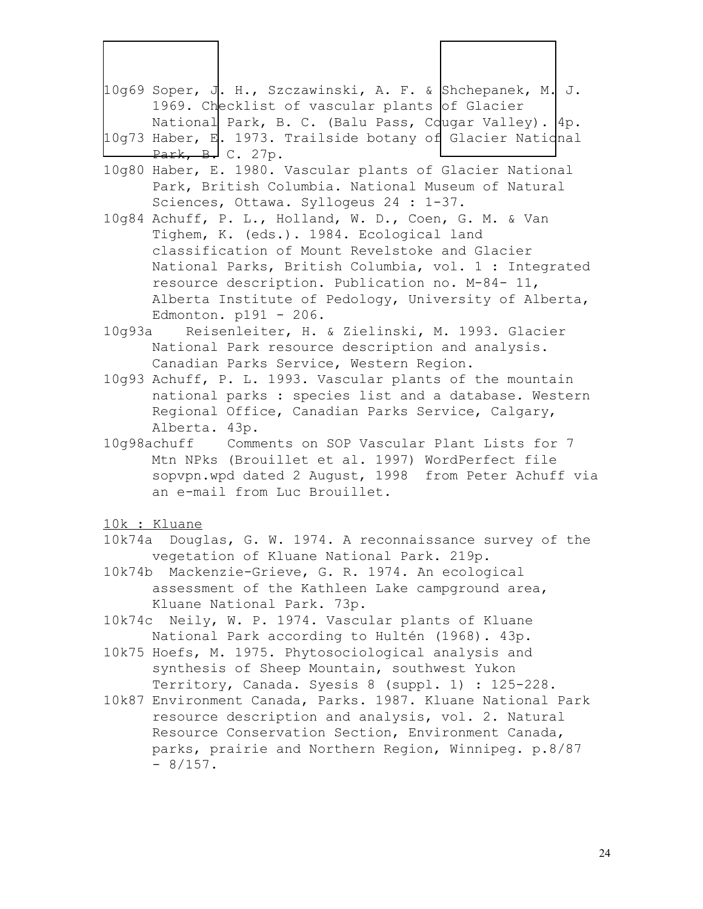| 10g69 Soper, J. H., Szczawinski, A. F. & Shchepanek, M. J.                                                  |
|-------------------------------------------------------------------------------------------------------------|
|                                                                                                             |
| National Park, B. C. (Balu Pass, Cougar Valley). 4p.                                                        |
| 10g73 Haber, E. 1973. Trailside botany of Glacier Natidnal                                                  |
|                                                                                                             |
| 10g80 Haber, E. 1980. Vascular plants of Glacier National                                                   |
|                                                                                                             |
|                                                                                                             |
|                                                                                                             |
|                                                                                                             |
|                                                                                                             |
|                                                                                                             |
| National Parks, British Columbia, vol. 1 : Integrated                                                       |
|                                                                                                             |
| Alberta Institute of Pedology, University of Alberta,                                                       |
|                                                                                                             |
|                                                                                                             |
|                                                                                                             |
|                                                                                                             |
| 10g93 Achuff, P. L. 1993. Vascular plants of the mountain                                                   |
| national parks : species list and a database. Western                                                       |
|                                                                                                             |
|                                                                                                             |
| Park, British Columbia. National Museum of Natural<br>10g93a Reisenleiter, H. & Zielinski, M. 1993. Glacier |

10g98achuff Comments on SOP Vascular Plant Lists for 7 Mtn NPks (Brouillet et al. 1997) WordPerfect file sopvpn.wpd dated 2 August, 1998 from Peter Achuff via an e-mail from Luc Brouillet.

10k : Kluane

- 10k74a Douglas, G. W. 1974. A reconnaissance survey of the vegetation of Kluane National Park. 219p.
- 10k74b Mackenzie-Grieve, G. R. 1974. An ecological assessment of the Kathleen Lake campground area, Kluane National Park. 73p.
- 10k74c Neily, W. P. 1974. Vascular plants of Kluane National Park according to Hultén (1968). 43p.
- 10k75 Hoefs, M. 1975. Phytosociological analysis and synthesis of Sheep Mountain, southwest Yukon Territory, Canada. Syesis 8 (suppl. 1) : 125-228.
- 10k87 Environment Canada, Parks. 1987. Kluane National Park resource description and analysis, vol. 2. Natural Resource Conservation Section, Environment Canada, parks, prairie and Northern Region, Winnipeg. p.8/87  $-8/157$ .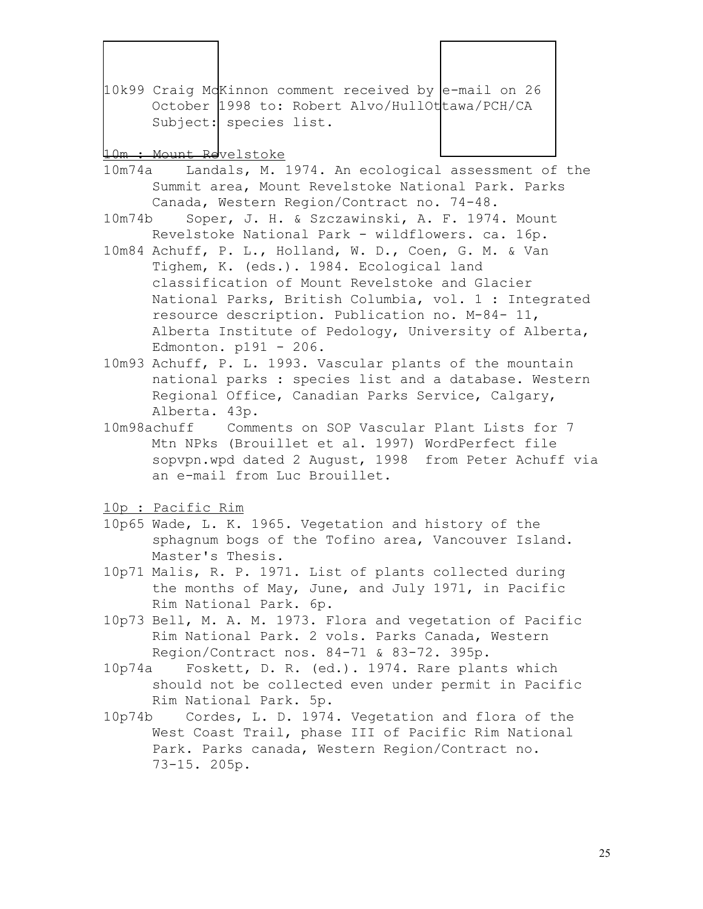10k99 Craig McKinnon comment received by e-mail on 26 October 1998 to: Robert Alvo/HullOttawa/PCH/CA Subject: species list.

#### 10m : Mount Revelstoke

- 10m74a Landals, M. 1974. An ecological assessment of the Summit area, Mount Revelstoke National Park. Parks Canada, Western Region/Contract no. 74-48.
- 10m74b Soper, J. H. & Szczawinski, A. F. 1974. Mount Revelstoke National Park - wildflowers. ca. 16p.
- 10m84 Achuff, P. L., Holland, W. D., Coen, G. M. & Van Tighem, K. (eds.). 1984. Ecological land classification of Mount Revelstoke and Glacier National Parks, British Columbia, vol. 1 : Integrated resource description. Publication no. M-84- 11, Alberta Institute of Pedology, University of Alberta, Edmonton. p191 - 206.
- 10m93 Achuff, P. L. 1993. Vascular plants of the mountain national parks : species list and a database. Western Regional Office, Canadian Parks Service, Calgary, Alberta. 43p.
- 10m98achuff Comments on SOP Vascular Plant Lists for 7 Mtn NPks (Brouillet et al. 1997) WordPerfect file sopvpn.wpd dated 2 August, 1998 from Peter Achuff via an e-mail from Luc Brouillet.
- 10p : Pacific Rim
- 10p65 Wade, L. K. 1965. Vegetation and history of the sphagnum bogs of the Tofino area, Vancouver Island. Master's Thesis.
- 10p71 Malis, R. P. 1971. List of plants collected during the months of May, June, and July 1971, in Pacific Rim National Park. 6p.
- 10p73 Bell, M. A. M. 1973. Flora and vegetation of Pacific Rim National Park. 2 vols. Parks Canada, Western Region/Contract nos. 84-71 & 83-72. 395p.
- 10p74a Foskett, D. R. (ed.). 1974. Rare plants which should not be collected even under permit in Pacific Rim National Park. 5p.
- 10p74b Cordes, L. D. 1974. Vegetation and flora of the West Coast Trail, phase III of Pacific Rim National Park. Parks canada, Western Region/Contract no. 73-15. 205p.